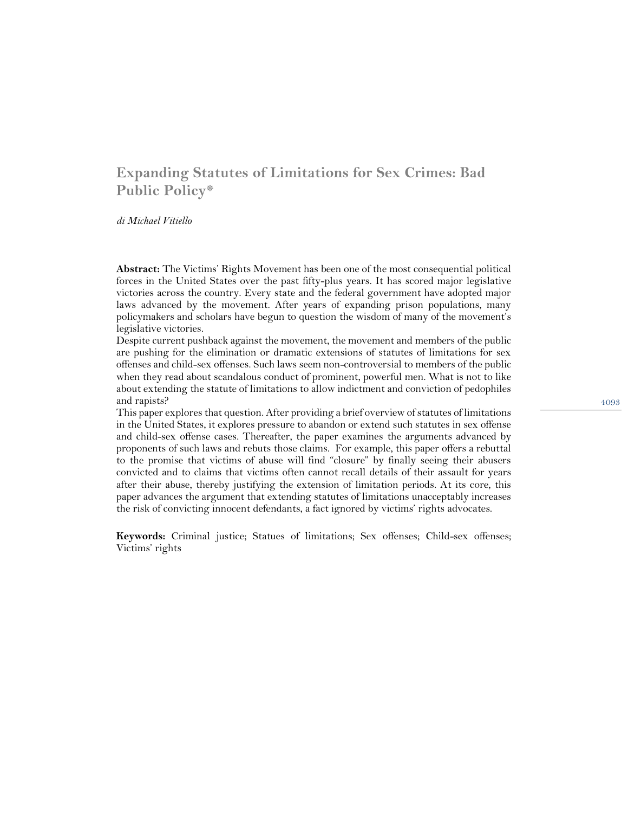# **Expanding Statutes of Limitations for Sex Crimes: Bad Public Policy\***

*di Michael Vitiello*

**Abstract:** The Victims' Rights Movement has been one of the most consequential political forces in the United States over the past fifty-plus years. It has scored major legislative victories across the country. Every state and the federal government have adopted major laws advanced by the movement. After years of expanding prison populations, many policymakers and scholars have begun to question the wisdom of many of the movement's legislative victories.

Despite current pushback against the movement, the movement and members of the public are pushing for the elimination or dramatic extensions of statutes of limitations for sex offenses and child-sex offenses. Such laws seem non-controversial to members of the public when they read about scandalous conduct of prominent, powerful men. What is not to like about extending the statute of limitations to allow indictment and conviction of pedophiles and rapists?

This paper explores that question. After providing a brief overview of statutes of limitations in the United States, it explores pressure to abandon or extend such statutes in sex offense and child-sex offense cases. Thereafter, the paper examines the arguments advanced by proponents of such laws and rebuts those claims. For example, this paper offers a rebuttal to the promise that victims of abuse will find "closure" by finally seeing their abusers convicted and to claims that victims often cannot recall details of their assault for years after their abuse, thereby justifying the extension of limitation periods. At its core, this paper advances the argument that extending statutes of limitations unacceptably increases the risk of convicting innocent defendants, a fact ignored by victims' rights advocates.

**Keywords:** Criminal justice; Statues of limitations; Sex offenses; Child-sex offenses; Victims' rights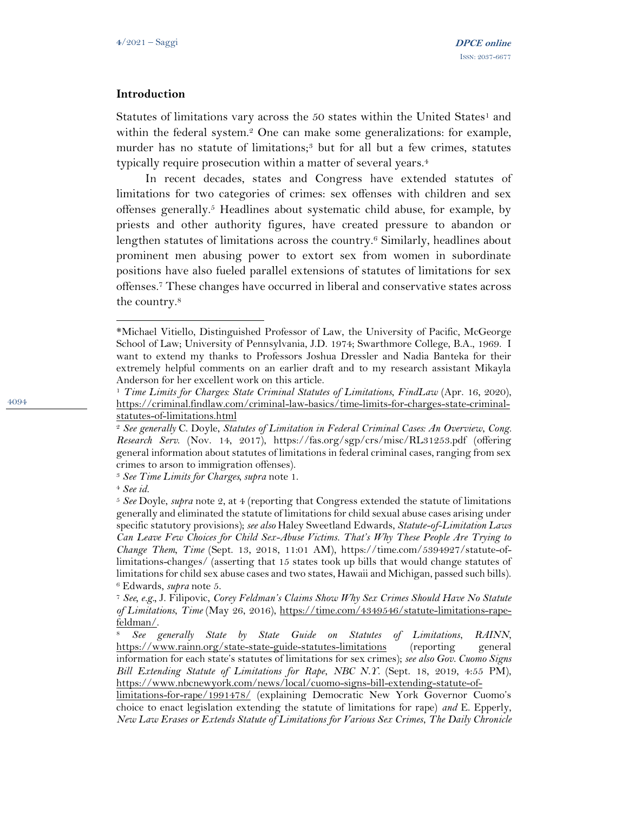#### **Introduction**

Statutes of limitations vary across the  $50$  states within the United States<sup>1</sup> and within the federal system.<sup>2</sup> One can make some generalizations: for example, murder has no statute of limitations;<sup>3</sup> but for all but a few crimes, statutes typically require prosecution within a matter of several years.<sup>4</sup>

In recent decades, states and Congress have extended statutes of limitations for two categories of crimes: sex offenses with children and sex offenses generally.<sup>5</sup> Headlines about systematic child abuse, for example, by priests and other authority figures, have created pressure to abandon or lengthen statutes of limitations across the country.<sup>6</sup> Similarly, headlines about prominent men abusing power to extort sex from women in subordinate positions have also fueled parallel extensions of statutes of limitations for sex offenses.<sup>7</sup> These changes have occurred in liberal and conservative states across the country.<sup>8</sup>

<sup>\*</sup>Michael Vitiello, Distinguished Professor of Law, the University of Pacific, McGeorge School of Law; University of Pennsylvania, J.D. 1974; Swarthmore College, B.A., 1969. I want to extend my thanks to Professors Joshua Dressler and Nadia Banteka for their extremely helpful comments on an earlier draft and to my research assistant Mikayla Anderson for her excellent work on this article.

<sup>1</sup> *Time Limits for Charges: State Criminal Statutes of Limitations*, *FindLaw* (Apr. 16, 2020), [https://criminal.findlaw.com/criminal-law-basics/time-limits-for-charges-state-criminal](https://criminal.findlaw.com/criminal-law-basics/time-limits-for-charges-state-criminal-statutes-of-limitations.html)[statutes-of-limitations.html](https://criminal.findlaw.com/criminal-law-basics/time-limits-for-charges-state-criminal-statutes-of-limitations.html)

<sup>2</sup> *See generally* C. Doyle, *Statutes of Limitation in Federal Criminal Cases: An Overview*, *Cong. Research Serv*. (Nov. 14, 2017), https://fas.org/sgp/crs/misc/RL31253.pdf (offering general information about statutes of limitations in federal criminal cases, ranging from sex crimes to arson to immigration offenses).

<sup>3</sup> *See Time Limits for Charges, supra* note 1.

<sup>4</sup> *See id.* 

<sup>5</sup> *See* Doyle, *supra* note 2, at 4 (reporting that Congress extended the statute of limitations generally and eliminated the statute of limitations for child sexual abuse cases arising under specific statutory provisions); *see also* Haley Sweetland Edwards, *Statute-of-Limitation Laws Can Leave Few Choices for Child Sex-Abuse Victims. That's Why These People Are Trying to Change Them*, *Time* (Sept. 13, 2018, 11:01 AM), https://time.com/5394927/statute-oflimitations-changes/ (asserting that 15 states took up bills that would change statutes of limitations for child sex abuse cases and two states, Hawaii and Michigan, passed such bills). <sup>6</sup> Edwards, *supra* note 5.

<sup>7</sup> *See, e.g.,* J. Filipovic, *Corey Feldman's Claims Show Why Sex Crimes Should Have No Statute of Limitations*, *Time* (May 26, 2016), [https://time.com/4349546/statute-limitations-rape](https://time.com/4349546/statute-limitations-rape-feldman/)[feldman/.](https://time.com/4349546/statute-limitations-rape-feldman/)

<sup>8</sup> *See generally State by State Guide on Statutes of Limitations*, *RAINN*, <https://www.rainn.org/state-state-guide-statutes-limitations> (reporting general information for each state's statutes of limitations for sex crimes); *see also Gov. Cuomo Signs Bill Extending Statute of Limitations for Rape*, *NBC N.Y*. (Sept. 18, 2019, 4:55 PM), [https://www.nbcnewyork.com/news/local/cuomo-signs-bill-extending-statute-of-](https://www.nbcnewyork.com/news/local/cuomo-signs-bill-extending-statute-of-limitations-for-rape/1991478/)

[limitations-for-rape/1991478/](https://www.nbcnewyork.com/news/local/cuomo-signs-bill-extending-statute-of-limitations-for-rape/1991478/) (explaining Democratic New York Governor Cuomo's choice to enact legislation extending the statute of limitations for rape) *and* E. Epperly, *New Law Erases or Extends Statute of Limitations for Various Sex Crimes*, *The Daily Chronicle*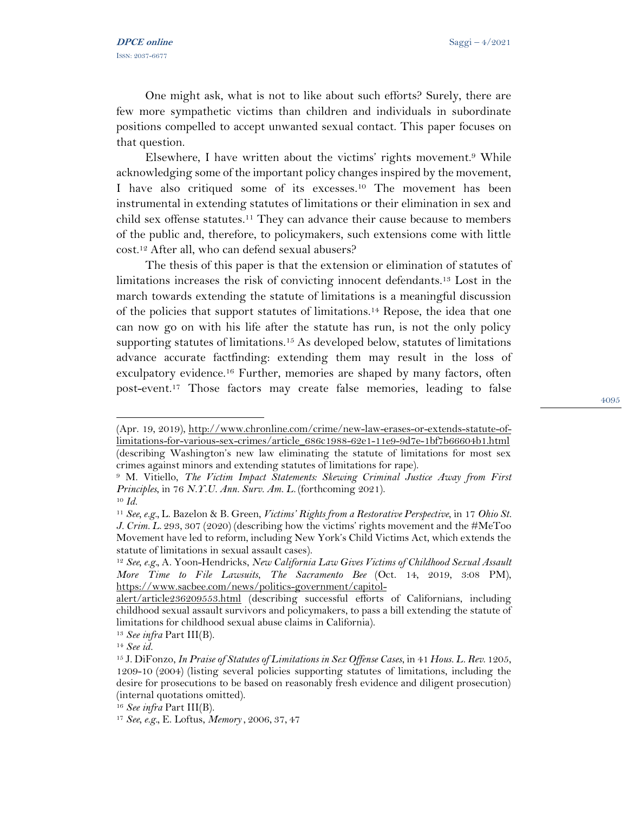One might ask, what is not to like about such efforts? Surely, there are few more sympathetic victims than children and individuals in subordinate positions compelled to accept unwanted sexual contact. This paper focuses on that question.

Elsewhere, I have written about the victims' rights movement.<sup>9</sup> While acknowledging some of the important policy changes inspired by the movement, I have also critiqued some of its excesses.<sup>10</sup> The movement has been instrumental in extending statutes of limitations or their elimination in sex and child sex offense statutes.<sup>11</sup> They can advance their cause because to members of the public and, therefore, to policymakers, such extensions come with little cost.<sup>12</sup> After all, who can defend sexual abusers?

The thesis of this paper is that the extension or elimination of statutes of limitations increases the risk of convicting innocent defendants. <sup>13</sup> Lost in the march towards extending the statute of limitations is a meaningful discussion of the policies that support statutes of limitations.<sup>14</sup> Repose, the idea that one can now go on with his life after the statute has run, is not the only policy supporting statutes of limitations.<sup>15</sup> As developed below, statutes of limitations advance accurate factfinding: extending them may result in the loss of exculpatory evidence.<sup>16</sup> Further, memories are shaped by many factors, often post-event.<sup>17</sup> Those factors may create false memories, leading to false

<sup>(</sup>Apr. 19, 2019), [http://www.chronline.com/crime/new-law-erases-or-extends-statute-of](http://www.chronline.com/crime/new-law-erases-or-extends-statute-of-limitations-for-various-sex-crimes/article_686c1988-62e1-11e9-9d7e-1bf7b66604b1.html)[limitations-for-various-sex-crimes/article\\_686c1988-62e1-11e9-9d7e-1bf7b66604b1.html](http://www.chronline.com/crime/new-law-erases-or-extends-statute-of-limitations-for-various-sex-crimes/article_686c1988-62e1-11e9-9d7e-1bf7b66604b1.html) (describing Washington's new law eliminating the statute of limitations for most sex crimes against minors and extending statutes of limitations for rape).

<sup>9</sup> M. Vitiello, *The Victim Impact Statements: Skewing Criminal Justice Away from First Principles*, in 76 *N.Y.U. Ann. Surv. Am. L.* (forthcoming 2021).

<sup>10</sup> *Id.*

<sup>11</sup> *See, e.g.,* L. Bazelon & B. Green, *Victims' Rights from a Restorative Perspective*, in 17 *Ohio St. J. Crim. L*. 293, 307 (2020) (describing how the victims' rights movement and the #MeToo Movement have led to reform, including New York's Child Victims Act, which extends the statute of limitations in sexual assault cases).

<sup>12</sup> *See, e.g.,* A. Yoon-Hendricks, *New California Law Gives Victims of Childhood Sexual Assault More Time to File Lawsuits*, *The Sacramento Bee* (Oct. 14, 2019, 3:08 PM), [https://www.sacbee.com/news/politics-government/capitol-](https://www.sacbee.com/news/politics-government/capitol-alert/article236209553.html)

[alert/article236209553.html](https://www.sacbee.com/news/politics-government/capitol-alert/article236209553.html) (describing successful efforts of Californians, including childhood sexual assault survivors and policymakers, to pass a bill extending the statute of limitations for childhood sexual abuse claims in California).

<sup>13</sup> *See infra* Part III(B).

<sup>14</sup> *See id.* 

<sup>15</sup> J. DiFonzo, *In Praise of Statutes of Limitations in Sex Offense Cases*, in 41 *Hous. L. Rev*. 1205, 1209-10 (2004) (listing several policies supporting statutes of limitations, including the desire for prosecutions to be based on reasonably fresh evidence and diligent prosecution) (internal quotations omitted).

<sup>16</sup> *See infra* Part III(B).

<sup>17</sup> *See, e.g.,* E. Loftus, *Memory* , 2006, 37, 47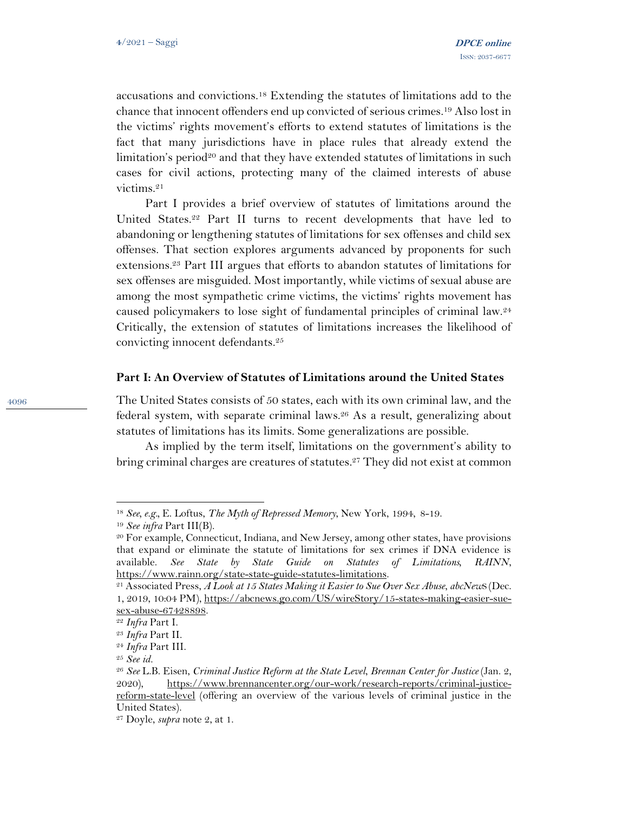accusations and convictions.<sup>18</sup> Extending the statutes of limitations add to the chance that innocent offenders end up convicted of serious crimes.<sup>19</sup> Also lost in the victims' rights movement's efforts to extend statutes of limitations is the fact that many jurisdictions have in place rules that already extend the limitation's period<sup>20</sup> and that they have extended statutes of limitations in such cases for civil actions, protecting many of the claimed interests of abuse victims.<sup>21</sup>

Part I provides a brief overview of statutes of limitations around the United States.<sup>22</sup> Part II turns to recent developments that have led to abandoning or lengthening statutes of limitations for sex offenses and child sex offenses. That section explores arguments advanced by proponents for such extensions.<sup>23</sup> Part III argues that efforts to abandon statutes of limitations for sex offenses are misguided. Most importantly, while victims of sexual abuse are among the most sympathetic crime victims, the victims' rights movement has caused policymakers to lose sight of fundamental principles of criminal law.<sup>24</sup> Critically, the extension of statutes of limitations increases the likelihood of convicting innocent defendants.<sup>25</sup>

#### **Part I: An Overview of Statutes of Limitations around the United States**

The United States consists of 50 states, each with its own criminal law, and the federal system, with separate criminal laws. <sup>26</sup> As a result, generalizing about statutes of limitations has its limits. Some generalizations are possible.

As implied by the term itself, limitations on the government's ability to bring criminal charges are creatures of statutes.<sup>27</sup> They did not exist at common

<sup>18</sup> *See, e.g.,* E. Loftus, *The Myth of Repressed Memory*, New York, 1994, 8-19.

<sup>19</sup> *See infra* Part III(B).

<sup>20</sup> For example, Connecticut, Indiana, and New Jersey, among other states, have provisions that expand or eliminate the statute of limitations for sex crimes if DNA evidence is available. *See State by State Guide on Statutes of Limitations, RAINN*, [https://www.rainn.org/state-state-guide-statutes-limitations.](https://www.rainn.org/state-state-guide-statutes-limitations)

<sup>21</sup> Associated Press, *A Look at 15 States Making it Easier to Sue Over Sex Abuse*, *abcNew*S (Dec. 1, 2019, 10:04 PM), [https://abcnews.go.com/US/wireStory/15-states-making-easier-sue](https://abcnews.go.com/US/wireStory/15-states-making-easier-sue-sex-abuse-67428898)[sex-abuse-67428898.](https://abcnews.go.com/US/wireStory/15-states-making-easier-sue-sex-abuse-67428898)

<sup>22</sup> *Infra* Part I.

<sup>23</sup> *Infra* Part II.

<sup>24</sup> *Infra* Part III.

<sup>25</sup> *See id.* 

<sup>26</sup> *See* L.B. Eisen, *Criminal Justice Reform at the State Level*, *Brennan Center for Justice* (Jan. 2, 2020), [https://www.brennancenter.org/our-work/research-reports/criminal-justice](https://www.brennancenter.org/our-work/research-reports/criminal-justice-reform-state-level)[reform-state-level](https://www.brennancenter.org/our-work/research-reports/criminal-justice-reform-state-level) (offering an overview of the various levels of criminal justice in the United States).

<sup>27</sup> Doyle, *supra* note 2, at 1.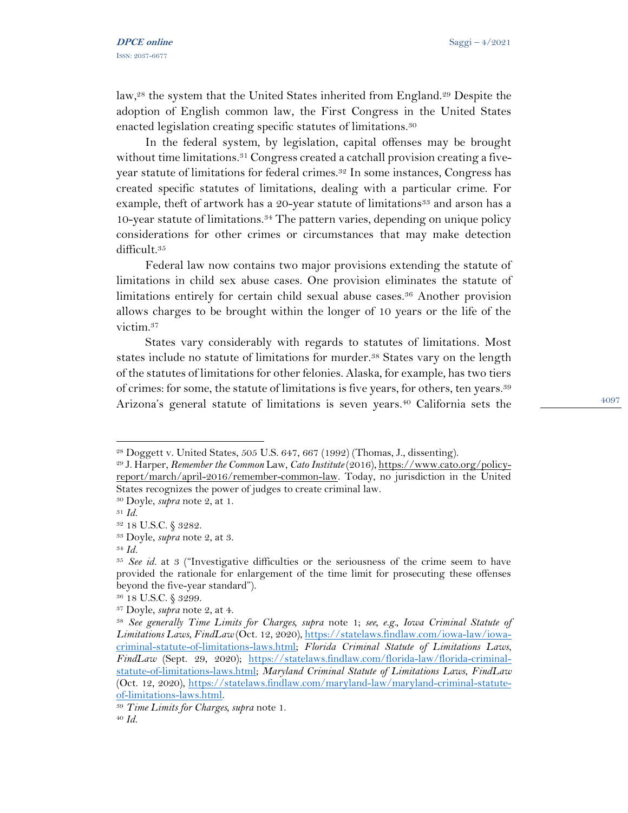law,<sup>28</sup> the system that the United States inherited from England.<sup>29</sup> Despite the adoption of English common law, the First Congress in the United States enacted legislation creating specific statutes of limitations.<sup>30</sup>

In the federal system, by legislation, capital offenses may be brought without time limitations.<sup>31</sup> Congress created a catchall provision creating a fiveyear statute of limitations for federal crimes.<sup>32</sup> In some instances, Congress has created specific statutes of limitations, dealing with a particular crime. For example, theft of artwork has a 20-year statute of limitations<sup>33</sup> and arson has a 10-year statute of limitations.<sup>34</sup> The pattern varies, depending on unique policy considerations for other crimes or circumstances that may make detection difficult.<sup>35</sup>

Federal law now contains two major provisions extending the statute of limitations in child sex abuse cases. One provision eliminates the statute of limitations entirely for certain child sexual abuse cases.<sup>36</sup> Another provision allows charges to be brought within the longer of 10 years or the life of the victim.<sup>37</sup>

States vary considerably with regards to statutes of limitations. Most states include no statute of limitations for murder.<sup>38</sup> States vary on the length of the statutes of limitations for other felonies. Alaska, for example, has two tiers of crimes: for some, the statute of limitations is five years, for others, ten years.<sup>39</sup> Arizona's general statute of limitations is seven years.<sup>40</sup> California sets the

<sup>28</sup> Doggett v. United States, 505 U.S. 647, 667 (1992) (Thomas, J., dissenting).

<sup>29</sup> J. Harper, *Remember the Common* Law, *Cato Institute* (2016)[, https://www.cato.org/policy](https://www.cato.org/policy-report/march/april-2016/remember-common-law)[report/march/april-2016/remember-common-law.](https://www.cato.org/policy-report/march/april-2016/remember-common-law) Today, no jurisdiction in the United States recognizes the power of judges to create criminal law.

<sup>30</sup> Doyle, *supra* note 2, at 1.

<sup>31</sup> *Id.* 

<sup>32</sup> 18 U.S.C. § 3282.

<sup>33</sup> Doyle, *supra* note 2, at 3.

<sup>34</sup> *Id.* 

<sup>35</sup> *See id.* at 3 ("Investigative difficulties or the seriousness of the crime seem to have provided the rationale for enlargement of the time limit for prosecuting these offenses beyond the five-year standard").

<sup>36</sup> 18 U.S.C. § 3299.

<sup>37</sup> Doyle, *supra* note 2, at 4.

<sup>38</sup> *See generally Time Limits for Charges, supra* note 1; *see, e.g., Iowa Criminal Statute of Limitations Laws*, *FindLaw* (Oct. 12, 2020)[, https://statelaws.findlaw.com/iowa-law/iowa](https://statelaws.findlaw.com/iowa-law/iowa-criminal-statute-of-limitations-laws.html)[criminal-statute-of-limitations-laws.html;](https://statelaws.findlaw.com/iowa-law/iowa-criminal-statute-of-limitations-laws.html) *Florida Criminal Statute of Limitations Laws*, *FindLaw* (Sept. 29, 2020); [https://statelaws.findlaw.com/florida-law/florida-criminal](https://statelaws.findlaw.com/florida-law/florida-criminal-statute-of-limitations-laws.html)[statute-of-limitations-laws.html;](https://statelaws.findlaw.com/florida-law/florida-criminal-statute-of-limitations-laws.html) *Maryland Criminal Statute of Limitations Laws*, *FindLaw* (Oct. 12, 2020), [https://statelaws.findlaw.com/maryland-law/maryland-criminal-statute](https://statelaws.findlaw.com/maryland-law/maryland-criminal-statute-of-limitations-laws.html)[of-limitations-laws.html.](https://statelaws.findlaw.com/maryland-law/maryland-criminal-statute-of-limitations-laws.html)

<sup>39</sup> *Time Limits for Charges, supra* note 1.

<sup>40</sup> *Id.*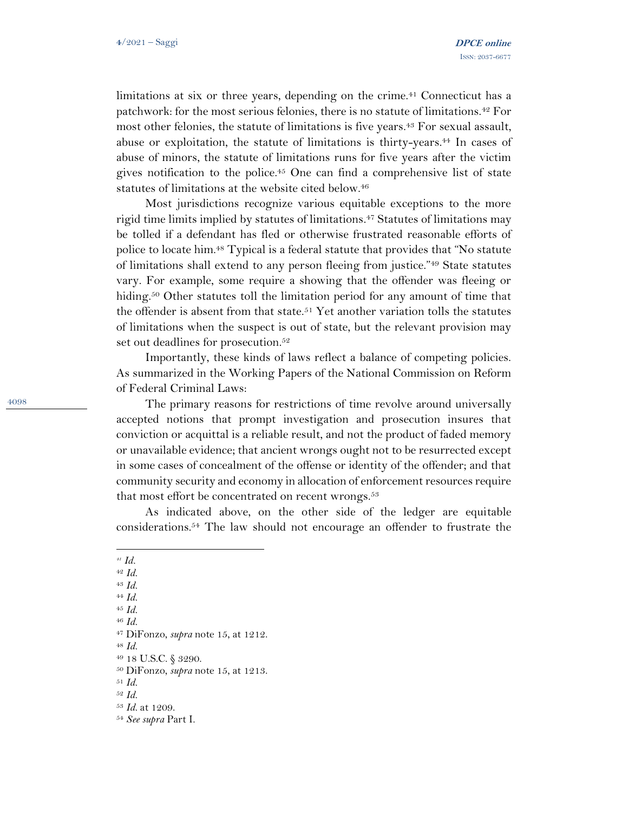limitations at six or three years, depending on the crime.<sup>41</sup> Connecticut has a patchwork: for the most serious felonies, there is no statute of limitations.<sup>42</sup> For most other felonies, the statute of limitations is five years.<sup>43</sup> For sexual assault, abuse or exploitation, the statute of limitations is thirty-years.<sup>44</sup> In cases of abuse of minors, the statute of limitations runs for five years after the victim gives notification to the police.<sup>45</sup> One can find a comprehensive list of state statutes of limitations at the website cited below.<sup>46</sup>

Most jurisdictions recognize various equitable exceptions to the more rigid time limits implied by statutes of limitations.<sup>47</sup> Statutes of limitations may be tolled if a defendant has fled or otherwise frustrated reasonable efforts of police to locate him.<sup>48</sup> Typical is a federal statute that provides that "No statute of limitations shall extend to any person fleeing from justice."<sup>49</sup> State statutes vary. For example, some require a showing that the offender was fleeing or hiding.<sup>50</sup> Other statutes toll the limitation period for any amount of time that the offender is absent from that state.<sup>51</sup> Yet another variation tolls the statutes of limitations when the suspect is out of state, but the relevant provision may set out deadlines for prosecution.<sup>52</sup>

Importantly, these kinds of laws reflect a balance of competing policies. As summarized in the Working Papers of the National Commission on Reform of Federal Criminal Laws:

The primary reasons for restrictions of time revolve around universally accepted notions that prompt investigation and prosecution insures that conviction or acquittal is a reliable result, and not the product of faded memory or unavailable evidence; that ancient wrongs ought not to be resurrected except in some cases of concealment of the offense or identity of the offender; and that community security and economy in allocation of enforcement resources require that most effort be concentrated on recent wrongs.<sup>53</sup>

As indicated above, on the other side of the ledger are equitable considerations.<sup>54</sup> The law should not encourage an offender to frustrate the

- <sup>44</sup> *Id.*
- <sup>45</sup> *Id.*
- <sup>46</sup> *Id.*

<sup>48</sup> *Id.* 

*<sup>41</sup> Id.*

<sup>42</sup> *Id.*

<sup>43</sup> *Id.* 

<sup>47</sup> DiFonzo, *supra* note 15, at 1212.

<sup>49</sup> 18 U.S.C. § 3290.

<sup>50</sup> DiFonzo, *supra* note 15, at 1213.

<sup>51</sup> *Id.* 

<sup>52</sup> *Id.* 

<sup>53</sup> *Id.* at 1209.

<sup>54</sup> *See supra* Part I.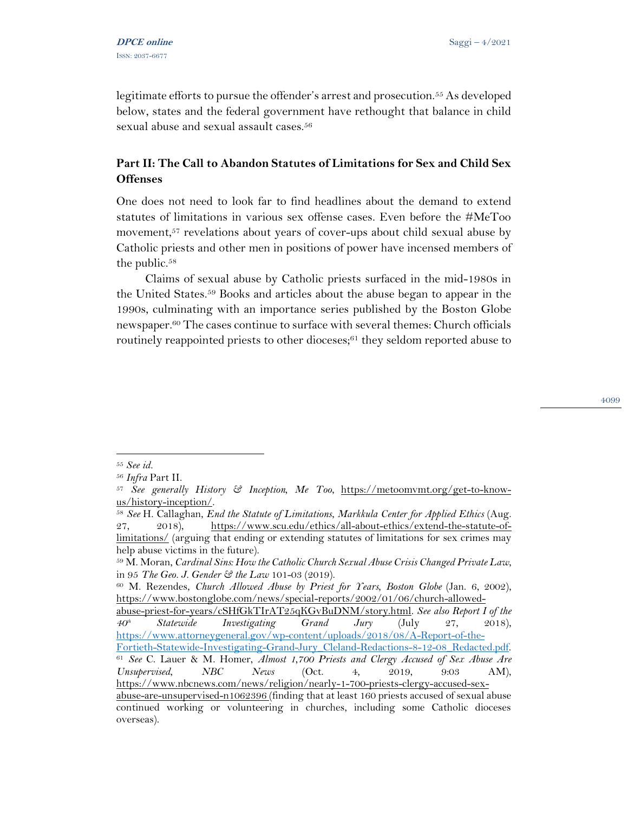legitimate efforts to pursue the offender's arrest and prosecution.<sup>55</sup> As developed below, states and the federal government have rethought that balance in child sexual abuse and sexual assault cases.<sup>56</sup>

# **Part II: The Call to Abandon Statutes of Limitations for Sex and Child Sex Offenses**

One does not need to look far to find headlines about the demand to extend statutes of limitations in various sex offense cases. Even before the #MeToo movement,<sup>57</sup> revelations about years of cover-ups about child sexual abuse by Catholic priests and other men in positions of power have incensed members of the public. $58$ 

Claims of sexual abuse by Catholic priests surfaced in the mid-1980s in the United States.<sup>59</sup> Books and articles about the abuse began to appear in the 1990s, culminating with an importance series published by the Boston Globe newspaper.<sup>60</sup> The cases continue to surface with several themes: Church officials routinely reappointed priests to other dioceses;<sup>61</sup> they seldom reported abuse to

<sup>4099</sup>

<sup>55</sup> *See id.* 

<sup>56</sup> *Infra* Part II.

<sup>57</sup> *See generally History & Inception, Me Too*, [https://metoomvmt.org/get-to-know](https://metoomvmt.org/get-to-know-us/history-inception/)[us/history-inception/.](https://metoomvmt.org/get-to-know-us/history-inception/)

<sup>58</sup> *See* H. Callaghan, *End the Statute of Limitations*, *Markkula Center for Applied Ethics* (Aug. 27, 2018), [https://www.scu.edu/ethics/all-about-ethics/extend-the-statute-of](https://www.scu.edu/ethics/all-about-ethics/extend-the-statute-of-limitations/)[limitations/](https://www.scu.edu/ethics/all-about-ethics/extend-the-statute-of-limitations/) (arguing that ending or extending statutes of limitations for sex crimes may help abuse victims in the future).

<sup>59</sup> M. Moran, *Cardinal Sins: How the Catholic Church Sexual Abuse Crisis Changed Private Law*, in 95 *The Geo. J. Gender & the Law* 101-03 (2019).

<sup>60</sup> M. Rezendes, *Church Allowed Abuse by Priest for Years, Boston Globe* (Jan. 6, 2002), [https://www.bostonglobe.com/news/special-reports/2002/01/06/church-allowed-](https://www.bostonglobe.com/news/special-reports/2002/01/06/church-allowed-abuse-priest-for-years/cSHfGkTIrAT25qKGvBuDNM/story.html)

[abuse-priest-for-years/cSHfGkTIrAT25qKGvBuDNM/story.html.](https://www.bostonglobe.com/news/special-reports/2002/01/06/church-allowed-abuse-priest-for-years/cSHfGkTIrAT25qKGvBuDNM/story.html) *See also Report I of the 40th Statewide Investigating Grand Jury* (July 27, 2018), [https://www.attorneygeneral.gov/wp-content/uploads/2018/08/A-Report-of-the-](https://www.attorneygeneral.gov/wp-content/uploads/2018/08/A-Report-of-the-Fortieth-Statewide-Investigating-Grand-Jury_Cleland-Redactions-8-12-08_Redacted.pdf)[Fortieth-Statewide-Investigating-Grand-Jury\\_Cleland-Redactions-8-12-08\\_Redacted.pdf.](https://www.attorneygeneral.gov/wp-content/uploads/2018/08/A-Report-of-the-Fortieth-Statewide-Investigating-Grand-Jury_Cleland-Redactions-8-12-08_Redacted.pdf) <sup>61</sup> *See* C. Lauer & M. Homer, *Almost 1,700 Priests and Clergy Accused of Sex Abuse Are Unsupervised*, *NBC News* (Oct. 4, 2019, 9:03 AM), [https://www.nbcnews.com/news/religion/nearly-1-700-priests-clergy-accused-sex-](https://www.nbcnews.com/news/religion/nearly-1-700-priests-clergy-accused-sex-abuse-are-unsupervised-n1062396)

[abuse-are-unsupervised-n1062396](https://www.nbcnews.com/news/religion/nearly-1-700-priests-clergy-accused-sex-abuse-are-unsupervised-n1062396) (finding that at least 160 priests accused of sexual abuse continued working or volunteering in churches, including some Catholic dioceses overseas).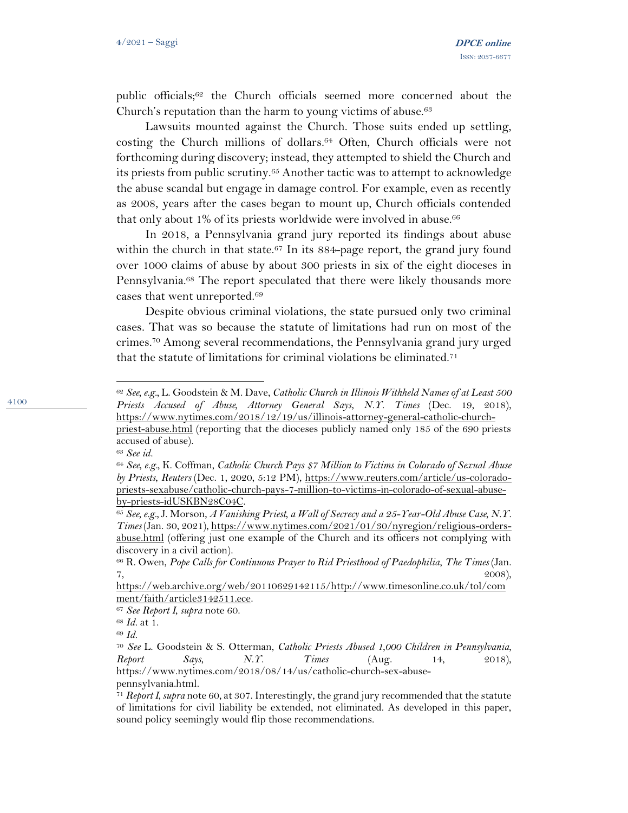public officials;<sup>62</sup> the Church officials seemed more concerned about the Church's reputation than the harm to young victims of abuse.<sup>63</sup>

Lawsuits mounted against the Church. Those suits ended up settling, costing the Church millions of dollars.<sup>64</sup> Often, Church officials were not forthcoming during discovery; instead, they attempted to shield the Church and its priests from public scrutiny.<sup>65</sup> Another tactic was to attempt to acknowledge the abuse scandal but engage in damage control. For example, even as recently as 2008, years after the cases began to mount up, Church officials contended that only about 1% of its priests worldwide were involved in abuse.<sup>66</sup>

In 2018, a Pennsylvania grand jury reported its findings about abuse within the church in that state.<sup>67</sup> In its  $884$ -page report, the grand jury found over 1000 claims of abuse by about 300 priests in six of the eight dioceses in Pennsylvania.<sup>68</sup> The report speculated that there were likely thousands more cases that went unreported.<sup>69</sup>

Despite obvious criminal violations, the state pursued only two criminal cases. That was so because the statute of limitations had run on most of the crimes.<sup>70</sup> Among several recommendations, the Pennsylvania grand jury urged that the statute of limitations for criminal violations be eliminated.<sup>71</sup>

<sup>62</sup> *See, e.g.,* L. Goodstein & M. Dave, *Catholic Church in Illinois Withheld Names of at Least 500 Priests Accused of Abuse, Attorney General Says*, *N.Y. Times* (Dec. 19, 2018), [https://www.nytimes.com/2018/12/19/us/illinois-attorney-general-catholic-church](https://www.nytimes.com/2018/12/19/us/illinois-attorney-general-catholic-church-priest-abuse.html)[priest-abuse.html](https://www.nytimes.com/2018/12/19/us/illinois-attorney-general-catholic-church-priest-abuse.html) (reporting that the dioceses publicly named only 185 of the 690 priests accused of abuse).

<sup>63</sup> *See id.* 

<sup>64</sup> *See, e.g.,* K. Coffman, *Catholic Church Pays \$7 Million to Victims in Colorado of Sexual Abuse by Priests*, *Reuters* (Dec. 1, 2020, 5:12 PM), [https://www.reuters.com/article/us-colorado](https://www.reuters.com/article/us-colorado-priests-sexabuse/catholic-church-pays-7-million-to-victims-in-colorado-of-sexual-abuse-by-priests-idUSKBN28C04C)[priests-sexabuse/catholic-church-pays-7-million-to-victims-in-colorado-of-sexual-abuse](https://www.reuters.com/article/us-colorado-priests-sexabuse/catholic-church-pays-7-million-to-victims-in-colorado-of-sexual-abuse-by-priests-idUSKBN28C04C)[by-priests-idUSKBN28C04C.](https://www.reuters.com/article/us-colorado-priests-sexabuse/catholic-church-pays-7-million-to-victims-in-colorado-of-sexual-abuse-by-priests-idUSKBN28C04C)

<sup>65</sup> *See, e.g.,* J. Morson, *A Vanishing Priest, a Wall of Secrecy and a 25-Year-Old Abuse Case, N.Y. Times* (Jan. 30, 2021), [https://www.nytimes.com/2021/01/30/nyregion/religious-orders](https://www.nytimes.com/2021/01/30/nyregion/religious-orders-abuse.html)[abuse.html](https://www.nytimes.com/2021/01/30/nyregion/religious-orders-abuse.html) (offering just one example of the Church and its officers not complying with discovery in a civil action).

<sup>66</sup> R. Owen, *Pope Calls for Continuous Prayer to Rid Priesthood of Paedophilia*, *The Times* (Jan.  $7,$  2008),

[https://web.archive.org/web/20110629142115/http://www.timesonline.co.uk/tol/com](https://web.archive.org/web/20110629142115/http:/www.timesonline.co.uk/tol/comment/faith/article3142511.ece) [ment/faith/article3142511.ece.](https://web.archive.org/web/20110629142115/http:/www.timesonline.co.uk/tol/comment/faith/article3142511.ece) 

<sup>67</sup> *See Report I, supra* note 60.

<sup>68</sup> *Id.* at 1.

<sup>69</sup> *Id.* 

<sup>70</sup> *See* L. Goodstein & S. Otterman, *Catholic Priests Abused 1,000 Children in Pennsylvania, Report Says*, *N.Y. Times* (Aug. 14, 2018), https://www.nytimes.com/2018/08/14/us/catholic-church-sex-abuse-

pennsylvania.html.

<sup>71</sup> *Report I, supra* note 60, at 307. Interestingly, the grand jury recommended that the statute of limitations for civil liability be extended, not eliminated. As developed in this paper, sound policy seemingly would flip those recommendations.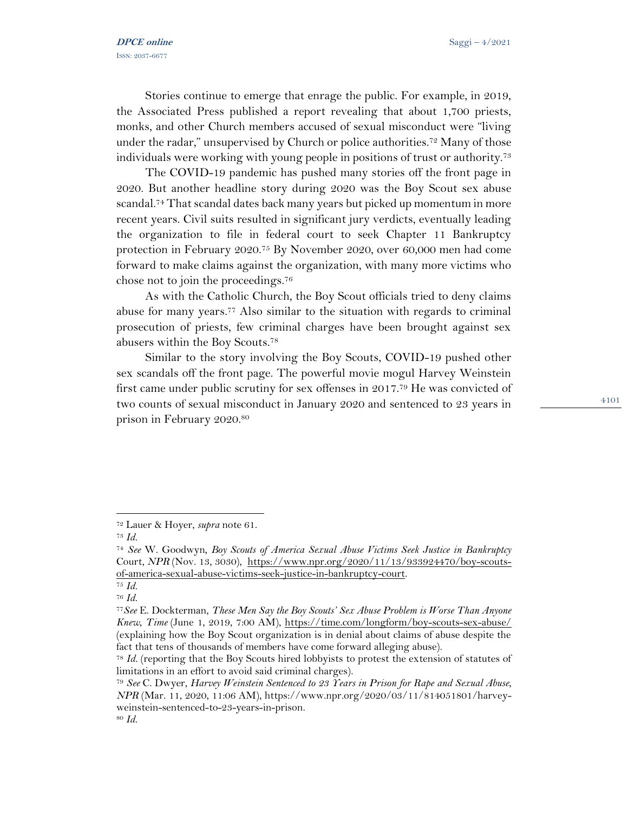Stories continue to emerge that enrage the public. For example, in 2019, the Associated Press published a report revealing that about 1,700 priests, monks, and other Church members accused of sexual misconduct were "living under the radar," unsupervised by Church or police authorities.<sup>72</sup> Many of those individuals were working with young people in positions of trust or authority.<sup>73</sup>

The COVID-19 pandemic has pushed many stories off the front page in 2020. But another headline story during 2020 was the Boy Scout sex abuse scandal.<sup>74</sup> That scandal dates back many years but picked up momentum in more recent years. Civil suits resulted in significant jury verdicts, eventually leading the organization to file in federal court to seek Chapter 11 Bankruptcy protection in February 2020.<sup>75</sup> By November 2020, over 60,000 men had come forward to make claims against the organization, with many more victims who chose not to join the proceedings.<sup>76</sup>

As with the Catholic Church, the Boy Scout officials tried to deny claims abuse for many years.<sup>77</sup> Also similar to the situation with regards to criminal prosecution of priests, few criminal charges have been brought against sex abusers within the Boy Scouts.<sup>78</sup>

Similar to the story involving the Boy Scouts, COVID-19 pushed other sex scandals off the front page. The powerful movie mogul Harvey Weinstein first came under public scrutiny for sex offenses in 2017. <sup>79</sup> He was convicted of two counts of sexual misconduct in January 2020 and sentenced to 23 years in prison in February 2020.<sup>80</sup>

<sup>72</sup> Lauer & Hoyer, *supra* note 61.

<sup>73</sup> *Id.* 

<sup>74</sup> *See* W. Goodwyn*, Boy Scouts of America Sexual Abuse Victims Seek Justice in Bankruptcy*  Court, *NPR* (Nov. 13, 3030), [https://www.npr.org/2020/11/13/933924470/boy-scouts](https://www.npr.org/2020/11/13/933924470/boy-scouts-of-america-sexual-abuse-victims-seek-justice-in-bankruptcy-court)[of-america-sexual-abuse-victims-seek-justice-in-bankruptcy-court.](https://www.npr.org/2020/11/13/933924470/boy-scouts-of-america-sexual-abuse-victims-seek-justice-in-bankruptcy-court)

<sup>75</sup> *Id.* 

<sup>76</sup> *Id.* 

<sup>77</sup>*See* E. Dockterman, *These Men Say the Boy Scouts' Sex Abuse Problem is Worse Than Anyone Knew, Time* (June 1, 2019, 7:00 AM),<https://time.com/longform/boy-scouts-sex-abuse/> (explaining how the Boy Scout organization is in denial about claims of abuse despite the fact that tens of thousands of members have come forward alleging abuse).

<sup>78</sup> *Id.* (reporting that the Boy Scouts hired lobbyists to protest the extension of statutes of limitations in an effort to avoid said criminal charges).

<sup>79</sup> *See* C. Dwyer, *Harvey Weinstein Sentenced to 23 Years in Prison for Rape and Sexual Abuse*, *NPR* (Mar. 11, 2020, 11:06 AM), https://www.npr.org/2020/03/11/814051801/harveyweinstein-sentenced-to-23-years-in-prison.

<sup>80</sup> *Id.*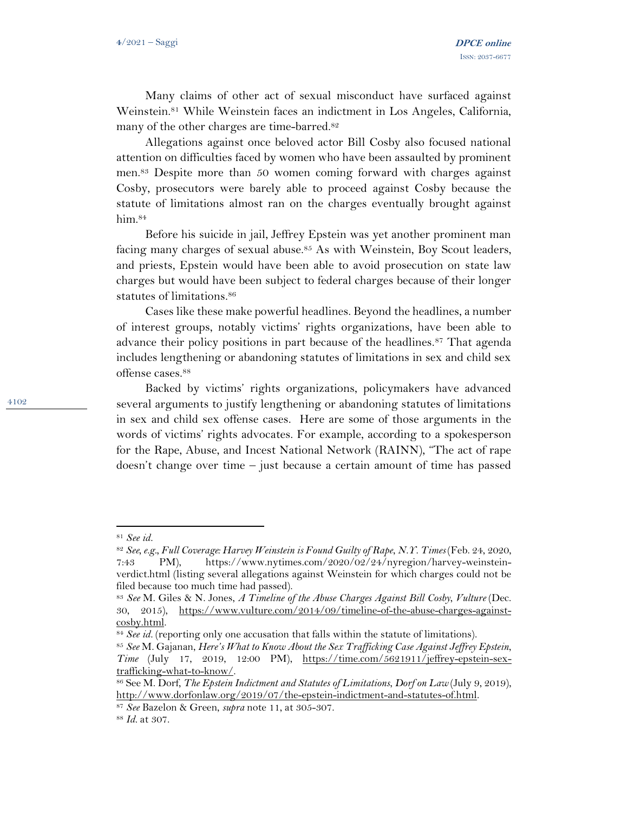Many claims of other act of sexual misconduct have surfaced against Weinstein.<sup>81</sup> While Weinstein faces an indictment in Los Angeles, California, many of the other charges are time-barred.<sup>82</sup>

Allegations against once beloved actor Bill Cosby also focused national attention on difficulties faced by women who have been assaulted by prominent men.<sup>83</sup> Despite more than 50 women coming forward with charges against Cosby, prosecutors were barely able to proceed against Cosby because the statute of limitations almost ran on the charges eventually brought against him.<sup>84</sup>

Before his suicide in jail, Jeffrey Epstein was yet another prominent man facing many charges of sexual abuse.<sup>85</sup> As with Weinstein, Boy Scout leaders, and priests, Epstein would have been able to avoid prosecution on state law charges but would have been subject to federal charges because of their longer statutes of limitations. 86

Cases like these make powerful headlines. Beyond the headlines, a number of interest groups, notably victims' rights organizations, have been able to advance their policy positions in part because of the headlines.<sup>87</sup> That agenda includes lengthening or abandoning statutes of limitations in sex and child sex offense cases.<sup>88</sup>

Backed by victims' rights organizations, policymakers have advanced several arguments to justify lengthening or abandoning statutes of limitations in sex and child sex offense cases. Here are some of those arguments in the words of victims' rights advocates. For example, according to a spokesperson for the Rape, Abuse, and Incest National Network (RAINN), "The act of rape doesn't change over time – just because a certain amount of time has passed

<sup>81</sup> *See id.* 

<sup>82</sup> *See, e.g., Full Coverage: Harvey Weinstein is Found Guilty of Rape*, *N.Y. Times* (Feb. 24, 2020, 7:43 PM), https://www.nytimes.com/2020/02/24/nyregion/harvey-weinsteinverdict.html (listing several allegations against Weinstein for which charges could not be filed because too much time had passed).

<sup>83</sup> *See* M. Giles & N. Jones, *A Timeline of the Abuse Charges Against Bill Cosby*, *Vulture* (Dec. 30, 2015), [https://www.vulture.com/2014/09/timeline-of-the-abuse-charges-against](https://www.vulture.com/2014/09/timeline-of-the-abuse-charges-against-cosby.html)[cosby.html.](https://www.vulture.com/2014/09/timeline-of-the-abuse-charges-against-cosby.html)

<sup>&</sup>lt;sup>84</sup> *See id.* (reporting only one accusation that falls within the statute of limitations).

<sup>85</sup> *See* M. Gajanan, *Here's What to Know About the Sex Trafficking Case Against Jeffrey Epstein*, *Time* (July 17, 2019, 12:00 PM), [https://time.com/5621911/jeffrey-epstein-sex](https://time.com/5621911/jeffrey-epstein-sex-trafficking-what-to-know/)[trafficking-what-to-know/.](https://time.com/5621911/jeffrey-epstein-sex-trafficking-what-to-know/)

<sup>86</sup> See M. Dorf*, The Epstein Indictment and Statutes of Limitations*, *Dorf on Law* (July 9, 2019), [http://www.dorfonlaw.org/2019/07/the-epstein-indictment-and-statutes-of.html.](http://www.dorfonlaw.org/2019/07/the-epstein-indictment-and-statutes-of.html)

<sup>87</sup> *See* Bazelon & Green, *supra* note 11, at 305-307.

<sup>88</sup> *Id.* at 307.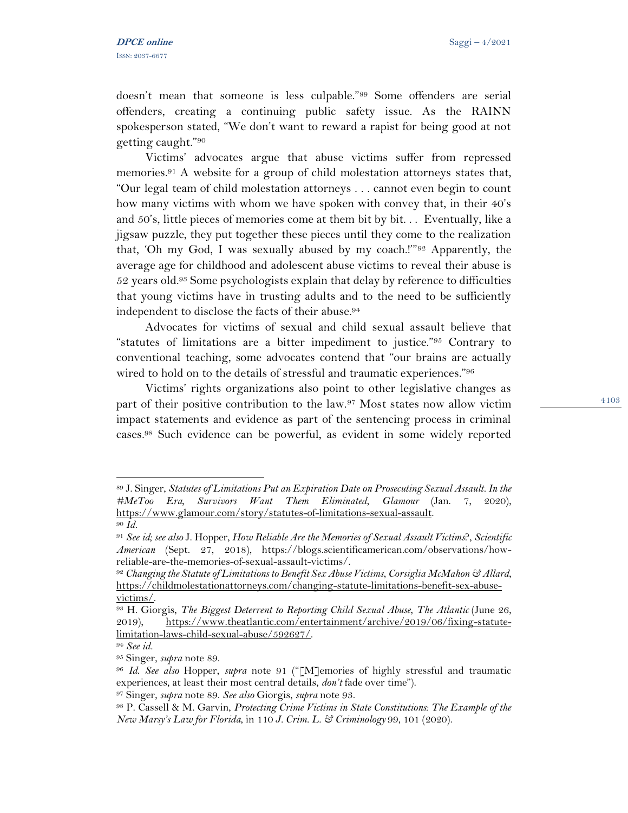doesn't mean that someone is less culpable."<sup>89</sup> Some offenders are serial offenders, creating a continuing public safety issue. As the RAINN spokesperson stated, "We don't want to reward a rapist for being good at not getting caught."<sup>90</sup>

Victims' advocates argue that abuse victims suffer from repressed memories.<sup>91</sup> A website for a group of child molestation attorneys states that, "Our legal team of child molestation attorneys . . . cannot even begin to count how many victims with whom we have spoken with convey that, in their 40's and 50's, little pieces of memories come at them bit by bit. . . Eventually, like a jigsaw puzzle, they put together these pieces until they come to the realization that, 'Oh my God, I was sexually abused by my coach.!'"<sup>92</sup> Apparently, the average age for childhood and adolescent abuse victims to reveal their abuse is  $52$  years old.<sup>93</sup> Some psychologists explain that delay by reference to difficulties that young victims have in trusting adults and to the need to be sufficiently independent to disclose the facts of their abuse.<sup>94</sup>

Advocates for victims of sexual and child sexual assault believe that "statutes of limitations are a bitter impediment to justice."<sup>95</sup> Contrary to conventional teaching, some advocates contend that "our brains are actually wired to hold on to the details of stressful and traumatic experiences."<sup>96</sup>

Victims' rights organizations also point to other legislative changes as part of their positive contribution to the law.<sup>97</sup> Most states now allow victim impact statements and evidence as part of the sentencing process in criminal cases.<sup>98</sup> Such evidence can be powerful, as evident in some widely reported

<sup>89</sup> J. Singer, *Statutes of Limitations Put an Expiration Date on Prosecuting Sexual Assault. In the #MeToo Era, Survivors Want Them Eliminated*, *Glamour* (Jan. 7, 2020), [https://www.glamour.com/story/statutes-of-limitations-sexual-assault.](https://www.glamour.com/story/statutes-of-limitations-sexual-assault) <sup>90</sup> *Id.* 

<sup>91</sup> *See id; see also* J. Hopper*, How Reliable Are the Memories of Sexual Assault Victims*?, *Scientific American* (Sept. 27, 2018), https://blogs.scientificamerican.com/observations/howreliable-are-the-memories-of-sexual-assault-victims/.

<sup>92</sup> *Changing the Statute of Limitations to Benefit Sex Abuse Victims*, *Corsiglia McMahon & Allard*, [https://childmolestationattorneys.com/changing-statute-limitations-benefit-sex-abuse](https://childmolestationattorneys.com/changing-statute-limitations-benefit-sex-abuse-victims/)[victims/.](https://childmolestationattorneys.com/changing-statute-limitations-benefit-sex-abuse-victims/)

<sup>93</sup> H. Giorgis, *The Biggest Deterrent to Reporting Child Sexual Abuse*, *The Atlantic* (June 26, 2019), [https://www.theatlantic.com/entertainment/archive/2019/06/fixing-statute](https://www.theatlantic.com/entertainment/archive/2019/06/fixing-statute-limitation-laws-child-sexual-abuse/592627/)[limitation-laws-child-sexual-abuse/592627/.](https://www.theatlantic.com/entertainment/archive/2019/06/fixing-statute-limitation-laws-child-sexual-abuse/592627/)

<sup>94</sup> *See id.* 

<sup>95</sup> Singer, *supra* note 89.

<sup>96</sup> *Id*. *See also* Hopper, *supra* note 91 ("[M]emories of highly stressful and traumatic experiences, at least their most central details, *don't* fade over time").

<sup>97</sup> Singer, *supra* note 89. *See also* Giorgis, *supra* note 93.

<sup>98</sup> P. Cassell & M. Garvin, *Protecting Crime Victims in State Constitutions: The Example of the New Marsy's Law for Florida*, in 110 *J. Crim. L. & Criminology* 99, 101 (2020).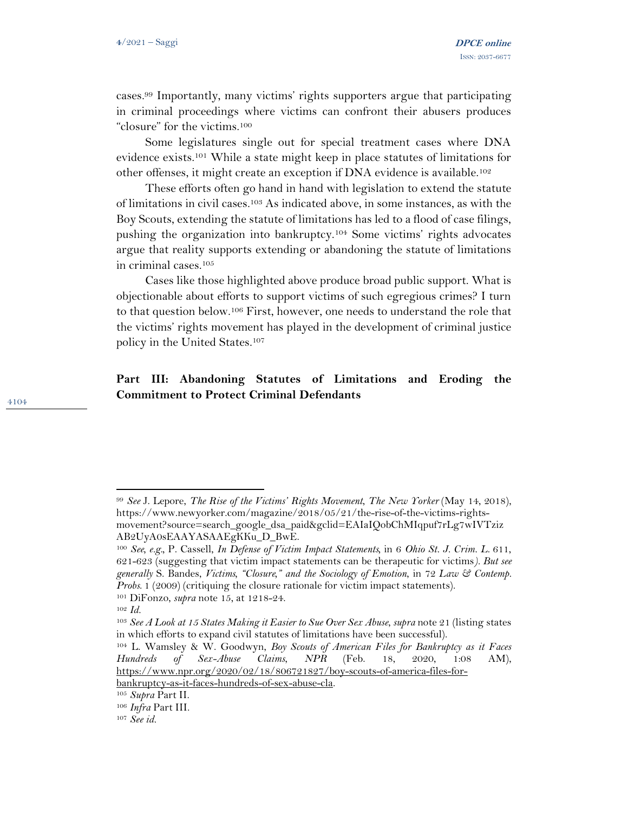cases.<sup>99</sup> Importantly, many victims' rights supporters argue that participating in criminal proceedings where victims can confront their abusers produces "closure" for the victims.<sup>100</sup>

Some legislatures single out for special treatment cases where DNA evidence exists.<sup>101</sup> While a state might keep in place statutes of limitations for other offenses, it might create an exception if DNA evidence is available.<sup>102</sup>

These efforts often go hand in hand with legislation to extend the statute of limitations in civil cases.<sup>103</sup> As indicated above, in some instances, as with the Boy Scouts, extending the statute of limitations has led to a flood of case filings, pushing the organization into bankruptcy.<sup>104</sup> Some victims' rights advocates argue that reality supports extending or abandoning the statute of limitations in criminal cases.<sup>105</sup>

Cases like those highlighted above produce broad public support. What is objectionable about efforts to support victims of such egregious crimes? I turn to that question below.<sup>106</sup> First, however, one needs to understand the role that the victims' rights movement has played in the development of criminal justice policy in the United States.<sup>107</sup>

# **Part III: Abandoning Statutes of Limitations and Eroding the Commitment to Protect Criminal Defendants**

<sup>99</sup> *See* J. Lepore, *The Rise of the Victims' Rights Movement*, *The New Yorker* (May 14, 2018), https://www.newyorker.com/magazine/2018/05/21/the-rise-of-the-victims-rightsmovement?source=search\_google\_dsa\_paid&gclid=EAIaIQobChMIqpuf7rLg7wIVTziz AB2UyA0sEAAYASAAEgKKu\_D\_BwE.

<sup>100</sup> *See, e.g.,* P. Cassell, *In Defense of Victim Impact Statements,* in 6 *Ohio St. J. Crim. L*. 611, 621-623 (suggesting that victim impact statements can be therapeutic for victims*). But see generally* S. Bandes, *Victims, "Closure," and the Sociology of Emotion*, in 72 *Law & Contemp. Probs*. 1 (2009) (critiquing the closure rationale for victim impact statements). <sup>101</sup> DiFonzo, *supra* note 15, at 1218-24.

<sup>102</sup> *Id.* 

<sup>103</sup> *See A Look at 15 States Making it Easier to Sue Over Sex Abuse*, *supra* note 21 (listing states in which efforts to expand civil statutes of limitations have been successful).

<sup>104</sup> L. Wamsley & W. Goodwyn, *Boy Scouts of American Files for Bankruptcy as it Faces Hundreds of Sex-Abuse Claims*, *NPR* (Feb. 18, 2020, 1:08 AM), [https://www.npr.org/2020/02/18/806721827/boy-scouts-of-america-files-for](https://www.npr.org/2020/02/18/806721827/boy-scouts-of-america-files-for-bankruptcy-as-it-faces-hundreds-of-sex-abuse-cla)[bankruptcy-as-it-faces-hundreds-of-sex-abuse-cla.](https://www.npr.org/2020/02/18/806721827/boy-scouts-of-america-files-for-bankruptcy-as-it-faces-hundreds-of-sex-abuse-cla)

<sup>105</sup> *Supra* Part II.

<sup>106</sup> *Infra* Part III.

<sup>107</sup> *See id.*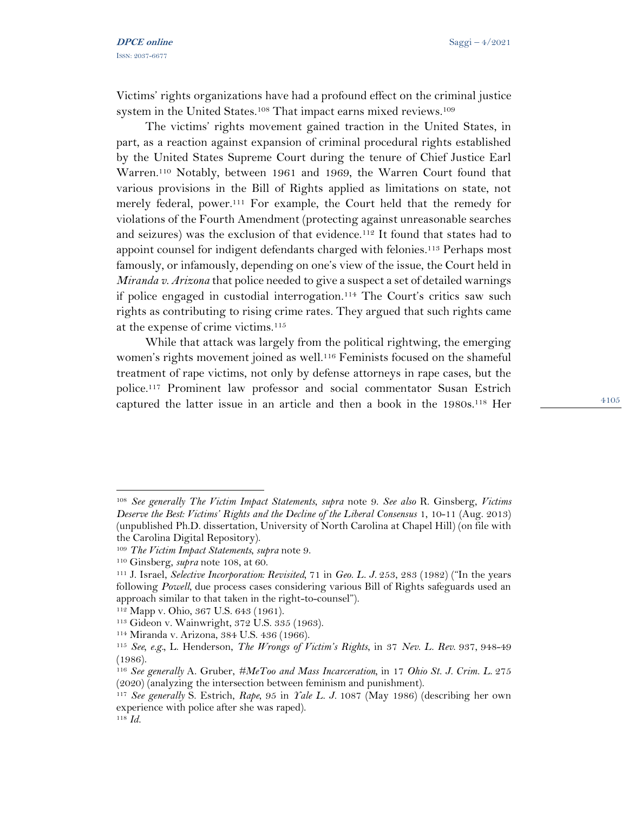Victims' rights organizations have had a profound effect on the criminal justice system in the United States.<sup>108</sup> That impact earns mixed reviews.<sup>109</sup>

The victims' rights movement gained traction in the United States, in part, as a reaction against expansion of criminal procedural rights established by the United States Supreme Court during the tenure of Chief Justice Earl Warren.<sup>110</sup> Notably, between 1961 and 1969, the Warren Court found that various provisions in the Bill of Rights applied as limitations on state, not merely federal, power.<sup>111</sup> For example, the Court held that the remedy for violations of the Fourth Amendment (protecting against unreasonable searches and seizures) was the exclusion of that evidence.<sup>112</sup> It found that states had to appoint counsel for indigent defendants charged with felonies.<sup>113</sup> Perhaps most famously, or infamously, depending on one's view of the issue, the Court held in *Miranda v. Arizona* that police needed to give a suspect a set of detailed warnings if police engaged in custodial interrogation.<sup>114</sup> The Court's critics saw such rights as contributing to rising crime rates. They argued that such rights came at the expense of crime victims.<sup>115</sup>

While that attack was largely from the political rightwing, the emerging women's rights movement joined as well.<sup>116</sup> Feminists focused on the shameful treatment of rape victims, not only by defense attorneys in rape cases, but the police.<sup>117</sup> Prominent law professor and social commentator Susan Estrich captured the latter issue in an article and then a book in the 1980s.<sup>118</sup> Her

<sup>108</sup> *See generally The Victim Impact Statements*, *supra* note 9. *See also* R. Ginsberg, *Victims Deserve the Best: Victims' Rights and the Decline of the Liberal Consensus* 1, 10-11 (Aug. 2013) (unpublished Ph.D. dissertation, University of North Carolina at Chapel Hill) (on file with the Carolina Digital Repository).

<sup>109</sup> *The Victim Impact Statements*, *supra* note 9.

<sup>110</sup> Ginsberg, *supra* note 108, at 60.

<sup>111</sup> J. Israel, *Selective Incorporation: Revisited,* 71 in *Geo. L. J.* 253, 283 (1982) ("In the years following *Powell*, due process cases considering various Bill of Rights safeguards used an approach similar to that taken in the right-to-counsel").

<sup>112</sup> Mapp v. Ohio, 367 U.S. 643 (1961).

<sup>113</sup> Gideon v. Wainwright, 372 U.S. 335 (1963).

<sup>114</sup> Miranda v. Arizona, 384 U.S. 436 (1966).

<sup>115</sup> *See, e.g.,* L. Henderson, *The Wrongs of Victim's Rights*, in 37 *Nev. L. Rev*. 937, 948-49 (1986).

<sup>116</sup> *See generally* A. Gruber, *#MeToo and Mass Incarceration,* in 17 *Ohio St. J. Crim. L*. 275 (2020) (analyzing the intersection between feminism and punishment).

<sup>117</sup> *See generally* S. Estrich, *Rape*, 95 in *Yale L. J.* 1087 (May 1986) (describing her own experience with police after she was raped).

<sup>118</sup> *Id.*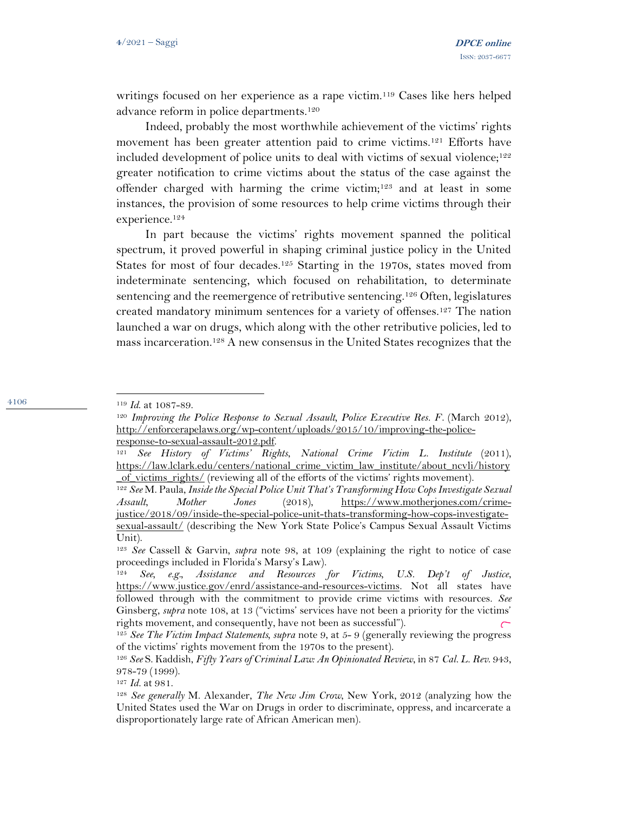writings focused on her experience as a rape victim.<sup>119</sup> Cases like hers helped advance reform in police departments.<sup>120</sup>

Indeed, probably the most worthwhile achievement of the victims' rights movement has been greater attention paid to crime victims.<sup>121</sup> Efforts have included development of police units to deal with victims of sexual violence;<sup>122</sup> greater notification to crime victims about the status of the case against the offender charged with harming the crime victim;<sup>123</sup> and at least in some instances, the provision of some resources to help crime victims through their experience.<sup>124</sup>

In part because the victims' rights movement spanned the political spectrum, it proved powerful in shaping criminal justice policy in the United States for most of four decades.<sup>125</sup> Starting in the 1970s, states moved from indeterminate sentencing, which focused on rehabilitation, to determinate sentencing and the reemergence of retributive sentencing.<sup>126</sup> Often, legislatures created mandatory minimum sentences for a variety of offenses.<sup>127</sup> The nation launched a war on drugs, which along with the other retributive policies, led to mass incarceration.<sup>128</sup> A new consensus in the United States recognizes that the

4106

<sup>127</sup> *Id.* at 981.

<sup>119</sup> *Id*. at 1087-89.

<sup>120</sup> *Improving the Police Response to Sexual Assault, Police Executive Res. F*. (March 2012), [http://enforcerapelaws.org/wp-content/uploads/2015/10/improving-the-police](http://enforcerapelaws.org/wp-content/uploads/2015/10/improving-the-police-response-to-sexual-assault-2012.pdf)[response-to-sexual-assault-2012.pdf.](http://enforcerapelaws.org/wp-content/uploads/2015/10/improving-the-police-response-to-sexual-assault-2012.pdf) 

<sup>121</sup> *See History of Victims' Rights*, *National Crime Victim L. Institute* (2011), [https://law.lclark.edu/centers/national\\_crime\\_victim\\_law\\_institute/about\\_ncvli/history](https://law.lclark.edu/centers/national_crime_victim_law_institute/about_ncvli/history_of_victims_rights/) [\\_of\\_victims\\_rights/](https://law.lclark.edu/centers/national_crime_victim_law_institute/about_ncvli/history_of_victims_rights/) (reviewing all of the efforts of the victims' rights movement).

<sup>122</sup> *See* M. Paula, *Inside the Special Police Unit That's Transforming How Cops Investigate Sexual Assault*, *Mother Jones* (2018), [https://www.motherjones.com/crime](https://www.motherjones.com/crime-justice/2018/09/inside-the-special-police-unit-thats-transforming-how-cops-investigate-sexual-assault/)[justice/2018/09/inside-the-special-police-unit-thats-transforming-how-cops-investigate](https://www.motherjones.com/crime-justice/2018/09/inside-the-special-police-unit-thats-transforming-how-cops-investigate-sexual-assault/)[sexual-assault/](https://www.motherjones.com/crime-justice/2018/09/inside-the-special-police-unit-thats-transforming-how-cops-investigate-sexual-assault/) (describing the New York State Police's Campus Sexual Assault Victims Unit).

<sup>123</sup> *See* Cassell & Garvin*, supra* note 98, at 109 (explaining the right to notice of case proceedings included in Florida's Marsy's Law).

<sup>124</sup> *See, e.g., Assistance and Resources for Victims, U.S. Dep't of Justice*, [https://www.justice.gov/enrd/assistance-and-resources-victims.](https://www.justice.gov/enrd/assistance-and-resources-victims) Not all states have followed through with the commitment to provide crime victims with resources. *See*  Ginsberg, *supra* note 108, at 13 ("victims' services have not been a priority for the victims' rights movement, and consequently, have not been as successful").

<sup>125</sup> *See The Victim Impact Statements, supra* note 9, at 5- 9 (generally reviewing the progress of the victims' rights movement from the 1970s to the present).

<sup>126</sup> *See* S. Kaddish, *Fifty Years of Criminal Law: An Opinionated Review*, in 87 *Cal. L. Rev*. 943, 978-79 (1999).

<sup>128</sup> *See generally* M. Alexander, *The New Jim Crow*, New York, 2012 (analyzing how the United States used the War on Drugs in order to discriminate, oppress, and incarcerate a disproportionately large rate of African American men).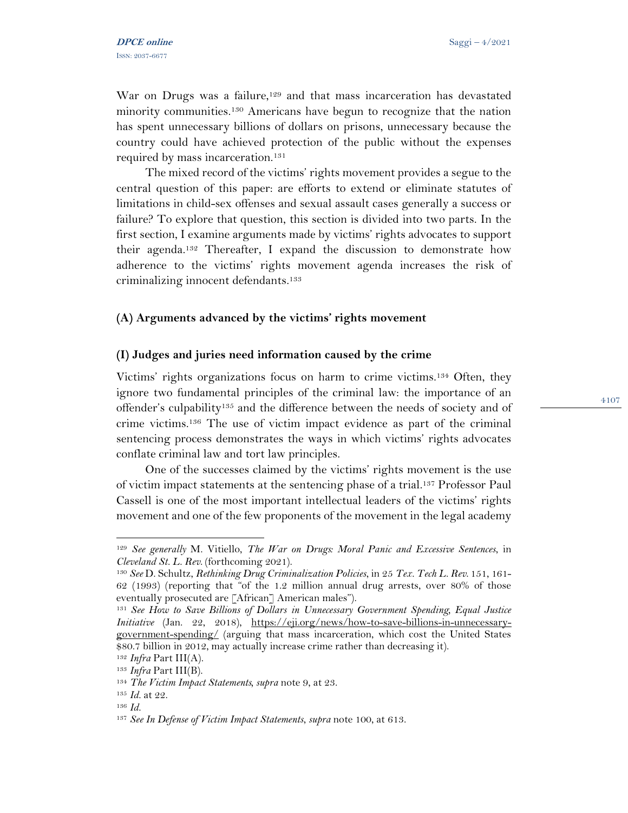War on Drugs was a failure,<sup>129</sup> and that mass incarceration has devastated minority communities.<sup>130</sup> Americans have begun to recognize that the nation has spent unnecessary billions of dollars on prisons, unnecessary because the country could have achieved protection of the public without the expenses required by mass incarceration.<sup>131</sup>

The mixed record of the victims' rights movement provides a segue to the central question of this paper: are efforts to extend or eliminate statutes of limitations in child-sex offenses and sexual assault cases generally a success or failure? To explore that question, this section is divided into two parts. In the first section, I examine arguments made by victims' rights advocates to support their agenda. <sup>132</sup> Thereafter, I expand the discussion to demonstrate how adherence to the victims' rights movement agenda increases the risk of criminalizing innocent defendants.<sup>133</sup>

### **(A) Arguments advanced by the victims' rights movement**

#### **(I) Judges and juries need information caused by the crime**

Victims' rights organizations focus on harm to crime victims.<sup>134</sup> Often, they ignore two fundamental principles of the criminal law: the importance of an offender's culpability<sup>135</sup> and the difference between the needs of society and of crime victims.<sup>136</sup> The use of victim impact evidence as part of the criminal sentencing process demonstrates the ways in which victims' rights advocates conflate criminal law and tort law principles.

One of the successes claimed by the victims' rights movement is the use of victim impact statements at the sentencing phase of a trial.<sup>137</sup> Professor Paul Cassell is one of the most important intellectual leaders of the victims' rights movement and one of the few proponents of the movement in the legal academy

<sup>129</sup> *See generally* M. Vitiello, *The War on Drugs: Moral Panic and Excessive Sentences*, in *Cleveland St. L. Rev*. (forthcoming 2021).

<sup>130</sup> *See* D. Schultz, *Rethinking Drug Criminalization Policies*, in 25 *Tex. Tech L. Rev*. 151, 161- 62 (1993) (reporting that "of the 1.2 million annual drug arrests, over 80% of those eventually prosecuted are [African] American males").

<sup>131</sup> *See How to Save Billions of Dollars in Unnecessary Government Spending, Equal Justice Initiative* (Jan. 22, 2018), [https://eji.org/news/how-to-save-billions-in-unnecessary](https://eji.org/news/how-to-save-billions-in-unnecessary-government-spending/)[government-spending/](https://eji.org/news/how-to-save-billions-in-unnecessary-government-spending/) (arguing that mass incarceration, which cost the United States \$80.7 billion in 2012, may actually increase crime rather than decreasing it).

<sup>132</sup> *Infra* Part III(A). <sup>133</sup> *Infra* Part III(B).

<sup>134</sup> *The Victim Impact Statements, supra* note 9, at 23.

<sup>135</sup> *Id.* at 22.

<sup>136</sup> *Id.*

<sup>137</sup> *See In Defense of Victim Impact Statements*, *supra* note 100, at 613.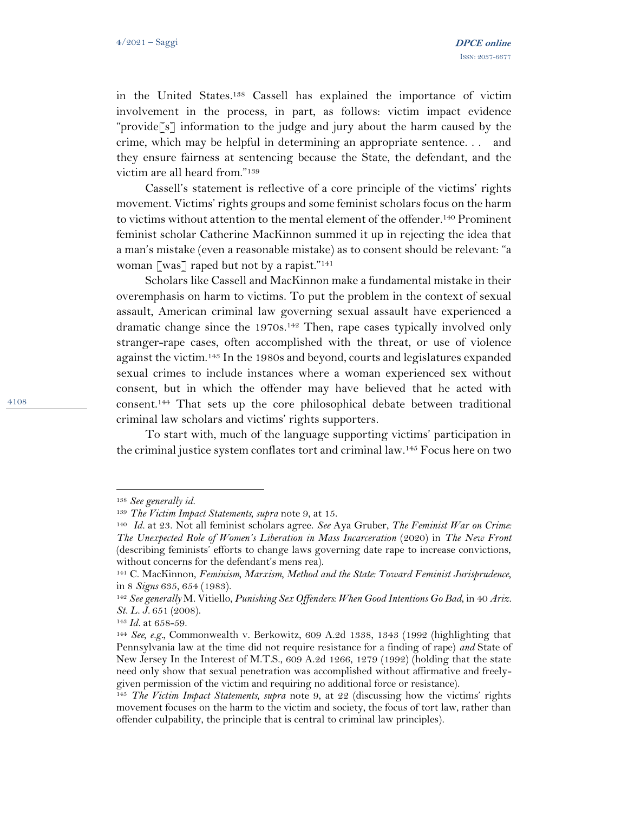in the United States.<sup>138</sup> Cassell has explained the importance of victim involvement in the process, in part, as follows: victim impact evidence "provide<sup>[s]</sup> information to the judge and jury about the harm caused by the crime, which may be helpful in determining an appropriate sentence. . . and they ensure fairness at sentencing because the State, the defendant, and the victim are all heard from."<sup>139</sup>

Cassell's statement is reflective of a core principle of the victims' rights movement. Victims' rights groups and some feminist scholars focus on the harm to victims without attention to the mental element of the offender.<sup>140</sup> Prominent feminist scholar Catherine MacKinnon summed it up in rejecting the idea that a man's mistake (even a reasonable mistake) as to consent should be relevant: "a woman [was] raped but not by a rapist."<sup>141</sup>

Scholars like Cassell and MacKinnon make a fundamental mistake in their overemphasis on harm to victims. To put the problem in the context of sexual assault, American criminal law governing sexual assault have experienced a dramatic change since the 1970s.<sup>142</sup> Then, rape cases typically involved only stranger-rape cases, often accomplished with the threat, or use of violence against the victim.<sup>143</sup> In the 1980s and beyond, courts and legislatures expanded sexual crimes to include instances where a woman experienced sex without consent, but in which the offender may have believed that he acted with consent.<sup>144</sup> That sets up the core philosophical debate between traditional criminal law scholars and victims' rights supporters.

To start with, much of the language supporting victims' participation in the criminal justice system conflates tort and criminal law.<sup>145</sup> Focus here on two

<sup>138</sup> *See generally id.* 

<sup>139</sup> *The Victim Impact Statements, supra* note 9, at 15.

<sup>140</sup> *Id.* at 23. Not all feminist scholars agree. *See* Aya Gruber, *The Feminist War on Crime: The Unexpected Role of Women's Liberation in Mass Incarceration* (2020) in *The New Front* (describing feminists' efforts to change laws governing date rape to increase convictions, without concerns for the defendant's mens rea).

<sup>141</sup> C. MacKinnon, *Feminism, Marxism, Method and the State: Toward Feminist Jurisprudence,* in 8 *Signs* 635, 654 (1983).

<sup>142</sup> *See generally* M. Vitiello*, Punishing Sex Offenders: When Good Intentions Go Bad*, in 40 *Ariz. St. L. J.* 651 (2008).

<sup>143</sup> *Id.* at 658-59.

<sup>144</sup> *See, e.g.,* Commonwealth v. Berkowitz, 609 A.2d 1338, 1343 (1992 (highlighting that Pennsylvania law at the time did not require resistance for a finding of rape) *and* State of New Jersey In the Interest of M.T.S., 609 A.2d 1266, 1279 (1992) (holding that the state need only show that sexual penetration was accomplished without affirmative and freelygiven permission of the victim and requiring no additional force or resistance).

<sup>145</sup> *The Victim Impact Statements, supra* note 9, at 22 (discussing how the victims' rights movement focuses on the harm to the victim and society, the focus of tort law, rather than offender culpability, the principle that is central to criminal law principles).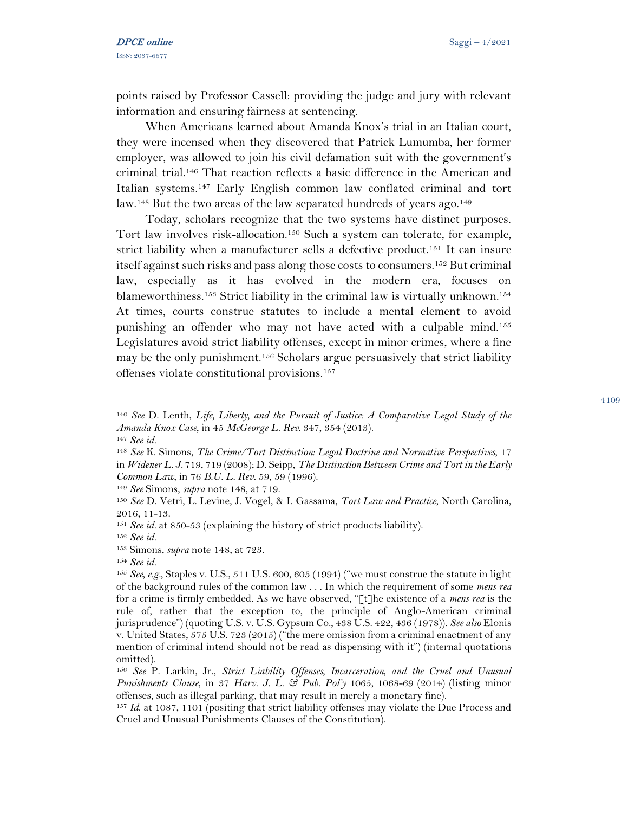points raised by Professor Cassell: providing the judge and jury with relevant information and ensuring fairness at sentencing.

When Americans learned about Amanda Knox's trial in an Italian court, they were incensed when they discovered that Patrick Lumumba, her former employer, was allowed to join his civil defamation suit with the government's criminal trial.<sup>146</sup> That reaction reflects a basic difference in the American and Italian systems.<sup>147</sup> Early English common law conflated criminal and tort law.<sup>148</sup> But the two areas of the law separated hundreds of years ago.<sup>149</sup>

Today, scholars recognize that the two systems have distinct purposes. Tort law involves risk-allocation.<sup>150</sup> Such a system can tolerate, for example, strict liability when a manufacturer sells a defective product.<sup>151</sup> It can insure itself against such risks and pass along those costs to consumers.<sup>152</sup> But criminal law, especially as it has evolved in the modern era, focuses on blameworthiness.<sup>153</sup> Strict liability in the criminal law is virtually unknown.<sup>154</sup> At times, courts construe statutes to include a mental element to avoid punishing an offender who may not have acted with a culpable mind.<sup>155</sup> Legislatures avoid strict liability offenses, except in minor crimes, where a fine may be the only punishment.<sup>156</sup> Scholars argue persuasively that strict liability offenses violate constitutional provisions.<sup>157</sup>

<sup>149</sup> *See* Simons, *supra* note 148, at 719.

<sup>146</sup> *See* D. Lenth, *Life, Liberty, and the Pursuit of Justice: A Comparative Legal Study of the Amanda Knox Case*, in 45 *McGeorge L. Rev*. 347, 354 (2013). <sup>147</sup> *See id.* 

<sup>148</sup> *See* K. Simons, *The Crime/Tort Distinction: Legal Doctrine and Normative Perspectives*, 17

in *Widener L. J.* 719, 719 (2008); D. Seipp, *The Distinction Between Crime and Tort in the Early Common Law*, in 76 *B.U. L. Rev.* 59, 59 (1996).

<sup>150</sup> *See* D. Vetri, L. Levine, J. Vogel, & I. Gassama, *Tort Law and Practice*, North Carolina, 2016, 11-13.

<sup>151</sup> *See id.* at 850-53 (explaining the history of strict products liability).

<sup>152</sup> *See id.* 

<sup>153</sup> Simons, *supra* note 148, at 723.

<sup>154</sup> *See id.* 

<sup>155</sup> *See, e.g.,* Staples v. U.S., 511 U.S. 600, 605 (1994) ("we must construe the statute in light of the background rules of the common law . . . In which the requirement of some *mens rea*  for a crime is firmly embedded. As we have observed, "[t]he existence of a *mens rea* is the rule of, rather that the exception to, the principle of Anglo-American criminal jurisprudence") (quoting U.S. v. U.S. Gypsum Co., 438 U.S. 422, 436 (1978)). *See also* Elonis v. United States, 575 U.S. 723 (2015) ("the mere omission from a criminal enactment of any mention of criminal intend should not be read as dispensing with it") (internal quotations omitted).

<sup>156</sup> *See* P. Larkin, Jr., *Strict Liability Offenses, Incarceration, and the Cruel and Unusual Punishments Clause*, in 37 *Harv. J. L. & Pub. Pol'y* 1065, 1068-69 (2014) (listing minor offenses, such as illegal parking, that may result in merely a monetary fine).

<sup>157</sup> *Id*. at 1087, 1101 (positing that strict liability offenses may violate the Due Process and Cruel and Unusual Punishments Clauses of the Constitution).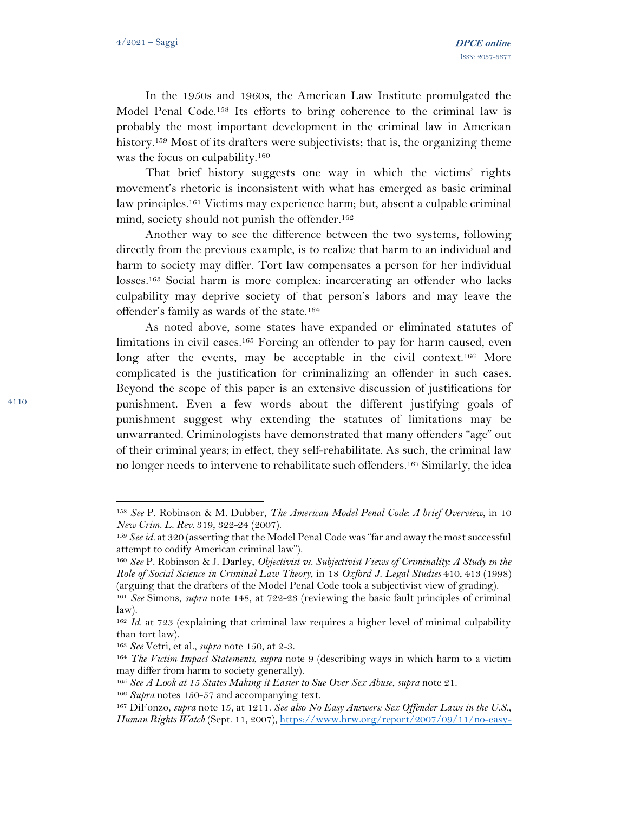4110

In the 1950s and 1960s, the American Law Institute promulgated the Model Penal Code.<sup>158</sup> Its efforts to bring coherence to the criminal law is probably the most important development in the criminal law in American history.<sup>159</sup> Most of its drafters were subjectivists; that is, the organizing theme was the focus on culpability.<sup>160</sup>

That brief history suggests one way in which the victims' rights movement's rhetoric is inconsistent with what has emerged as basic criminal law principles.<sup>161</sup> Victims may experience harm; but, absent a culpable criminal mind, society should not punish the offender.<sup>162</sup>

Another way to see the difference between the two systems, following directly from the previous example, is to realize that harm to an individual and harm to society may differ. Tort law compensates a person for her individual losses.<sup>163</sup> Social harm is more complex: incarcerating an offender who lacks culpability may deprive society of that person's labors and may leave the offender's family as wards of the state.<sup>164</sup>

As noted above, some states have expanded or eliminated statutes of limitations in civil cases.<sup>165</sup> Forcing an offender to pay for harm caused, even long after the events, may be acceptable in the civil context.<sup>166</sup> More complicated is the justification for criminalizing an offender in such cases. Beyond the scope of this paper is an extensive discussion of justifications for punishment. Even a few words about the different justifying goals of punishment suggest why extending the statutes of limitations may be unwarranted. Criminologists have demonstrated that many offenders "age" out of their criminal years; in effect, they self-rehabilitate. As such, the criminal law no longer needs to intervene to rehabilitate such offenders.<sup>167</sup> Similarly, the idea

<sup>158</sup> *See* P. Robinson & M. Dubber, *The American Model Penal Code: A brief Overview*, in 10 *New Crim. L. Rev*. 319, 322-24 (2007).

<sup>159</sup> *See id.* at 320 (asserting that the Model Penal Code was "far and away the most successful attempt to codify American criminal law").

<sup>160</sup> *See* P. Robinson & J. Darley, *Objectivist vs. Subjectivist Views of Criminality: A Study in the Role of Social Science in Criminal Law Theory*, in 18 *Oxford J. Legal Studies* 410, 413 (1998) (arguing that the drafters of the Model Penal Code took a subjectivist view of grading).

<sup>161</sup> *See* Simons, *supra* note 148, at 722-23 (reviewing the basic fault principles of criminal law).

<sup>162</sup> *Id.* at 723 (explaining that criminal law requires a higher level of minimal culpability than tort law).

<sup>163</sup> *See* Vetri, et al., *supra* note 150, at 2-3.

<sup>164</sup> *The Victim Impact Statements, supra* note 9 (describing ways in which harm to a victim may differ from harm to society generally).

<sup>165</sup> *See A Look at 15 States Making it Easier to Sue Over Sex Abuse*, *supra* note 21.

<sup>166</sup> *Supra* notes 150-57 and accompanying text.

<sup>167</sup> DiFonzo, *supra* note 15, at 1211. *See also No Easy Answers: Sex Offender Laws in the U.S.*, *Human Rights Watch* (Sept. 11, 2007), [https://www.hrw.org/report/2007/09/11/no-easy-](https://www.hrw.org/report/2007/09/11/no-easy-answers/sex-offender-laws-us)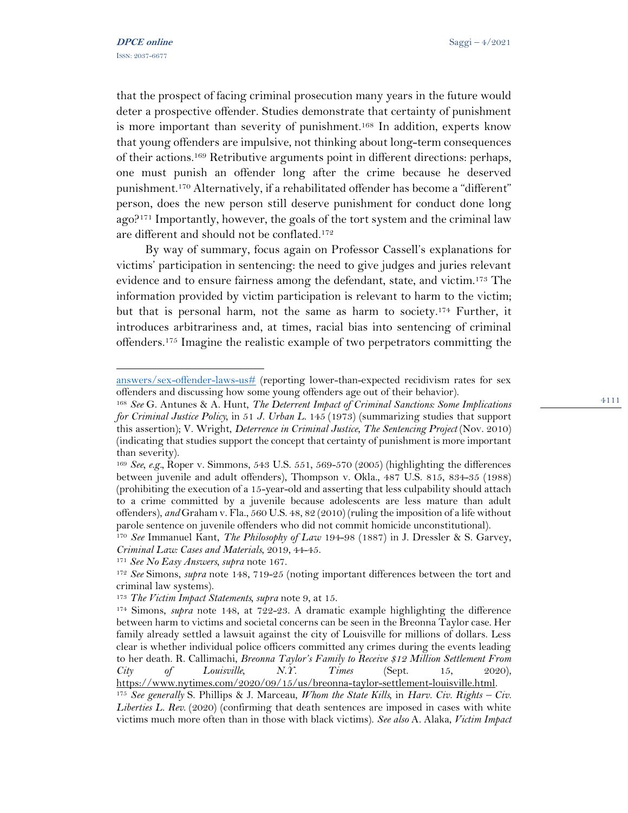that the prospect of facing criminal prosecution many years in the future would deter a prospective offender. Studies demonstrate that certainty of punishment is more important than severity of punishment.<sup>168</sup> In addition, experts know that young offenders are impulsive, not thinking about long-term consequences of their actions.<sup>169</sup> Retributive arguments point in different directions: perhaps, one must punish an offender long after the crime because he deserved punishment.<sup>170</sup> Alternatively, if a rehabilitated offender has become a "different" person, does the new person still deserve punishment for conduct done long ago?<sup>171</sup> Importantly, however, the goals of the tort system and the criminal law are different and should not be conflated.<sup>172</sup>

By way of summary, focus again on Professor Cassell's explanations for victims' participation in sentencing: the need to give judges and juries relevant evidence and to ensure fairness among the defendant, state, and victim.<sup>173</sup> The information provided by victim participation is relevant to harm to the victim; but that is personal harm, not the same as harm to society. <sup>174</sup> Further, it introduces arbitrariness and, at times, racial bias into sentencing of criminal offenders.<sup>175</sup> Imagine the realistic example of two perpetrators committing the

[answers/sex-offender-laws-us#](https://www.hrw.org/report/2007/09/11/no-easy-answers/sex-offender-laws-us) (reporting lower-than-expected recidivism rates for sex offenders and discussing how some young offenders age out of their behavior).

<sup>168</sup> *See* G. Antunes & A. Hunt, *The Deterrent Impact of Criminal Sanctions: Some Implications for Criminal Justice Policy,* in 51 *J. Urban L*. 145 (1973) (summarizing studies that support this assertion); V. Wright, *Deterrence in Criminal Justice*, *The Sentencing Project* (Nov. 2010) (indicating that studies support the concept that certainty of punishment is more important than severity).

<sup>169</sup> *See, e.g.,* Roper v. Simmons, 543 U.S. 551, 569-570 (2005) (highlighting the differences between juvenile and adult offenders), Thompson v. Okla., 487 U.S. 815, 834-35 (1988) (prohibiting the execution of a 15-year-old and asserting that less culpability should attach to a crime committed by a juvenile because adolescents are less mature than adult offenders), *and* Graham v. Fla., 560 U.S. 48, 82 (2010) (ruling the imposition of a life without parole sentence on juvenile offenders who did not commit homicide unconstitutional).

<sup>170</sup> *See* Immanuel Kant, *The Philosophy of Law* 194-98 (1887) in J. Dressler & S. Garvey, *Criminal Law: Cases and Materials*, 2019, 44-45.

<sup>171</sup> *See No Easy Answers, supra* note 167.

<sup>172</sup> *See* Simons, *supra* note 148, 719-25 (noting important differences between the tort and criminal law systems).

<sup>173</sup> *The Victim Impact Statements, supra* note 9, at 15.

<sup>174</sup> Simons, *supra* note 148, at 722-23. A dramatic example highlighting the difference between harm to victims and societal concerns can be seen in the Breonna Taylor case. Her family already settled a lawsuit against the city of Louisville for millions of dollars. Less clear is whether individual police officers committed any crimes during the events leading to her death. R. Callimachi, *Breonna Taylor's Family to Receive \$12 Million Settlement From City of Louisville, N.Y. Times* (Sept. 15, 2020), [https://www.nytimes.com/2020/09/15/us/breonna-taylor-settlement-louisville.html.](https://www.nytimes.com/2020/09/15/us/breonna-taylor-settlement-louisville.html)

<sup>175</sup> *See generally* S. Phillips & J. Marceau, *Whom the State Kills,* in *Harv. Civ. Rights – Civ. Liberties L. Rev*. (2020) (confirming that death sentences are imposed in cases with white victims much more often than in those with black victims). *See also* A. Alaka, *Victim Impact*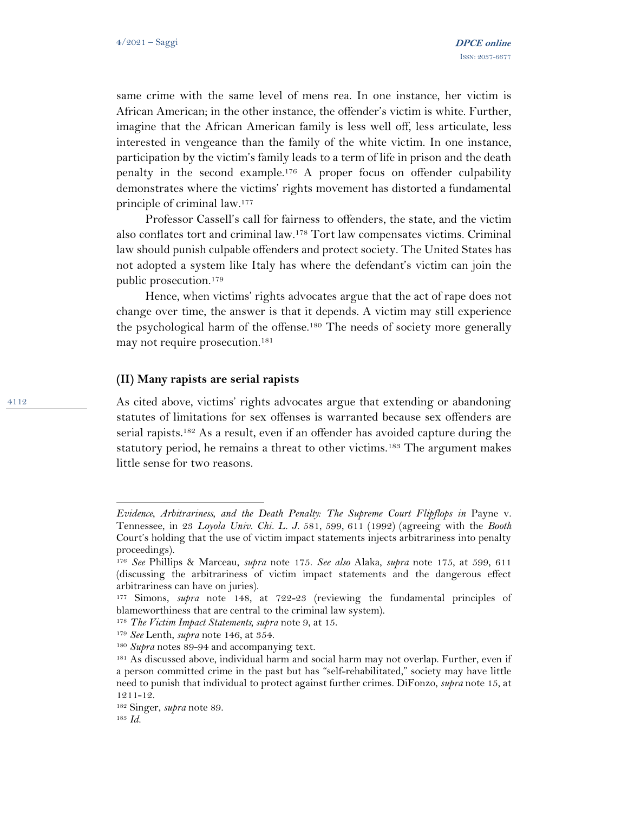same crime with the same level of mens rea. In one instance, her victim is African American; in the other instance, the offender's victim is white. Further, imagine that the African American family is less well off, less articulate, less interested in vengeance than the family of the white victim. In one instance, participation by the victim's family leads to a term of life in prison and the death penalty in the second example.<sup>176</sup> A proper focus on offender culpability demonstrates where the victims' rights movement has distorted a fundamental principle of criminal law.<sup>177</sup>

Professor Cassell's call for fairness to offenders, the state, and the victim also conflates tort and criminal law.<sup>178</sup> Tort law compensates victims. Criminal law should punish culpable offenders and protect society. The United States has not adopted a system like Italy has where the defendant's victim can join the public prosecution.<sup>179</sup>

Hence, when victims' rights advocates argue that the act of rape does not change over time, the answer is that it depends. A victim may still experience the psychological harm of the offense.<sup>180</sup> The needs of society more generally may not require prosecution.<sup>181</sup>

### **(II) Many rapists are serial rapists**

As cited above, victims' rights advocates argue that extending or abandoning statutes of limitations for sex offenses is warranted because sex offenders are serial rapists.<sup>182</sup> As a result, even if an offender has avoided capture during the statutory period, he remains a threat to other victims.<sup>183</sup> The argument makes little sense for two reasons.

*Evidence, Arbitrariness, and the Death Penalty: The Supreme Court Flipflops in Payne v.* Tennessee, in 23 *Loyola Univ. Chi. L. J*. 581, 599, 611 (1992) (agreeing with the *Booth* Court's holding that the use of victim impact statements injects arbitrariness into penalty proceedings).

<sup>176</sup> *See* Phillips & Marceau, *supra* note 175. *See also* Alaka, *supra* note 175, at 599, 611 (discussing the arbitrariness of victim impact statements and the dangerous effect arbitrariness can have on juries).

<sup>177</sup> Simons, *supra* note 148, at 722-23 (reviewing the fundamental principles of blameworthiness that are central to the criminal law system).

<sup>178</sup> *The Victim Impact Statements, supra* note 9, at 15.

<sup>179</sup> *See* Lenth, *supra* note 146, at 354.

<sup>180</sup> *Supra* notes 89-94 and accompanying text.

<sup>&</sup>lt;sup>181</sup> As discussed above, individual harm and social harm may not overlap. Further, even if a person committed crime in the past but has "self-rehabilitated," society may have little need to punish that individual to protect against further crimes. DiFonzo, *supra* note 15, at 1211-12.

<sup>182</sup> Singer, *supra* note 89.

<sup>183</sup> *Id.*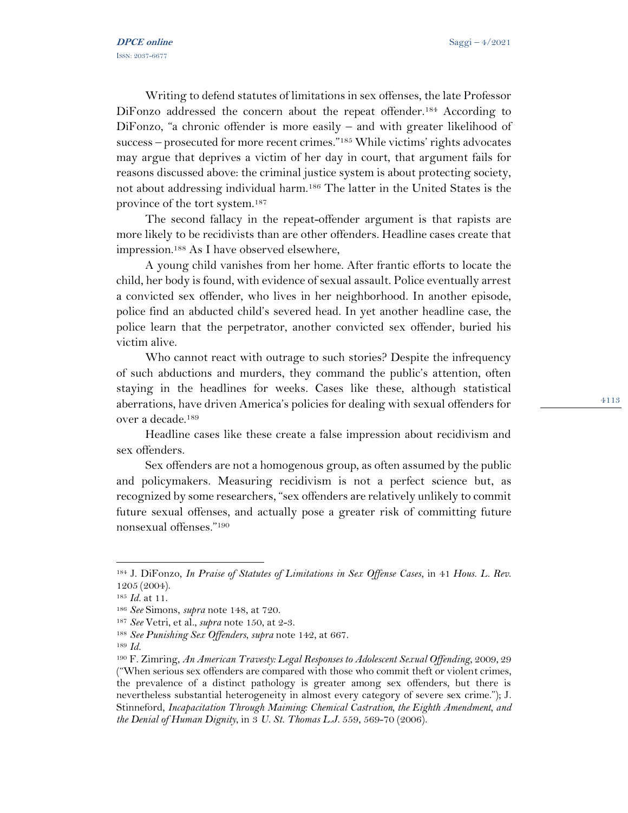Writing to defend statutes of limitations in sex offenses, the late Professor DiFonzo addressed the concern about the repeat offender.<sup>184</sup> According to DiFonzo, "a chronic offender is more easily – and with greater likelihood of success – prosecuted for more recent crimes."<sup>185</sup> While victims' rights advocates may argue that deprives a victim of her day in court, that argument fails for reasons discussed above: the criminal justice system is about protecting society, not about addressing individual harm.<sup>186</sup> The latter in the United States is the province of the tort system.<sup>187</sup>

The second fallacy in the repeat-offender argument is that rapists are more likely to be recidivists than are other offenders. Headline cases create that impression.<sup>188</sup> As I have observed elsewhere,

A young child vanishes from her home. After frantic efforts to locate the child, her body is found, with evidence of sexual assault. Police eventually arrest a convicted sex offender, who lives in her neighborhood. In another episode, police find an abducted child's severed head. In yet another headline case, the police learn that the perpetrator, another convicted sex offender, buried his victim alive.

Who cannot react with outrage to such stories? Despite the infrequency of such abductions and murders, they command the public's attention, often staying in the headlines for weeks. Cases like these, although statistical aberrations, have driven America's policies for dealing with sexual offenders for over a decade.<sup>189</sup>

Headline cases like these create a false impression about recidivism and sex offenders.

Sex offenders are not a homogenous group, as often assumed by the public and policymakers. Measuring recidivism is not a perfect science but, as recognized by some researchers, "sex offenders are relatively unlikely to commit future sexual offenses, and actually pose a greater risk of committing future nonsexual offenses."<sup>190</sup>

<sup>184</sup> J. DiFonzo, *In Praise of Statutes of Limitations in Sex Offense Cases*, in 41 *Hous. L. Rev*. 1205 (2004).

<sup>185</sup> *Id.* at 11.

<sup>186</sup> *See* Simons, *supra* note 148, at 720.

<sup>187</sup> *See* Vetri, et al., *supra* note 150, at 2-3.

<sup>188</sup> *See Punishing Sex Offenders*, *supra* note 142, at 667.

<sup>189</sup> *Id.* 

<sup>190</sup> F. Zimring, *An American Travesty: Legal Responses to Adolescent Sexual Offending*, 2009, 29 ("When serious sex offenders are compared with those who commit theft or violent crimes, the prevalence of a distinct pathology is greater among sex offenders, but there is nevertheless substantial heterogeneity in almost every category of severe sex crime."); J. Stinneford, *[Incapacitation Through Maiming: Chemical Castration, the Eighth Amendment, and](http://www.westlaw.com/Link/Document/FullText?findType=Y&serNum=0329743988&pubNum=182912&originatingDoc=Ib82e23a4496c11dd935de7477da167c1&refType=LR&fi=co_pp_sp_182912_569&originationContext=document&vr=3.0&rs=cblt1.0&transitionType=DocumentItem&contextData=(sc.UserEnteredCitation)#co_pp_sp_182912_569)  [the Denial of Human Dignity](http://www.westlaw.com/Link/Document/FullText?findType=Y&serNum=0329743988&pubNum=182912&originatingDoc=Ib82e23a4496c11dd935de7477da167c1&refType=LR&fi=co_pp_sp_182912_569&originationContext=document&vr=3.0&rs=cblt1.0&transitionType=DocumentItem&contextData=(sc.UserEnteredCitation)#co_pp_sp_182912_569)*, in 3 *U. St. Thomas L.J.* 559, 569-70 (2006).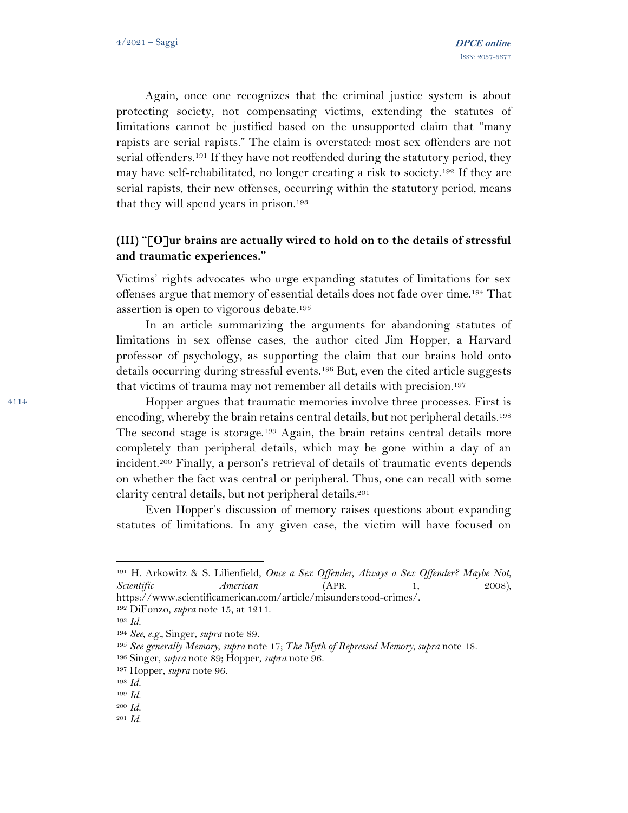Again, once one recognizes that the criminal justice system is about protecting society, not compensating victims, extending the statutes of limitations cannot be justified based on the unsupported claim that "many rapists are serial rapists." The claim is overstated: most sex offenders are not serial offenders.<sup>191</sup> If they have not reoffended during the statutory period, they may have self-rehabilitated, no longer creating a risk to society.<sup>192</sup> If they are serial rapists, their new offenses, occurring within the statutory period, means that they will spend years in prison.<sup>193</sup>

## **(III) "[O]ur brains are actually wired to hold on to the details of stressful and traumatic experiences."**

Victims' rights advocates who urge expanding statutes of limitations for sex offenses argue that memory of essential details does not fade over time.<sup>194</sup> That assertion is open to vigorous debate.<sup>195</sup>

In an article summarizing the arguments for abandoning statutes of limitations in sex offense cases, the author cited Jim Hopper, a Harvard professor of psychology, as supporting the claim that our brains hold onto details occurring during stressful events.<sup>196</sup> But, even the cited article suggests that victims of trauma may not remember all details with precision.<sup>197</sup>

Hopper argues that traumatic memories involve three processes. First is encoding, whereby the brain retains central details, but not peripheral details.<sup>198</sup> The second stage is storage.<sup>199</sup> Again, the brain retains central details more completely than peripheral details, which may be gone within a day of an incident.<sup>200</sup> Finally, a person's retrieval of details of traumatic events depends on whether the fact was central or peripheral. Thus, one can recall with some clarity central details, but not peripheral details.<sup>201</sup>

Even Hopper's discussion of memory raises questions about expanding statutes of limitations. In any given case, the victim will have focused on

<sup>191</sup> H. Arkowitz & S. Lilienfield, *Once a Sex Offender, Always a Sex Offender? Maybe Not*, *Scientific American* (APR. 1, 2008), [https://www.scientificamerican.com/article/misunderstood-crimes/.](https://www.scientificamerican.com/article/misunderstood-crimes/) 

<sup>192</sup> DiFonzo, *supra* note 15, at 1211.

<sup>193</sup> *Id.* 

<sup>194</sup> *See, e.g.,* Singer, *supra* note 89.

<sup>195</sup> *See generally Memory*, *supra* note 17; *The Myth of Repressed Memory*, *supra* note 18.

<sup>196</sup> Singer, *supra* note 89; Hopper, *supra* note 96.

<sup>197</sup> Hopper, *supra* note 96.

<sup>198</sup> *Id.* 

<sup>199</sup> *Id.* 

<sup>200</sup> *Id.* 

<sup>201</sup> *Id.*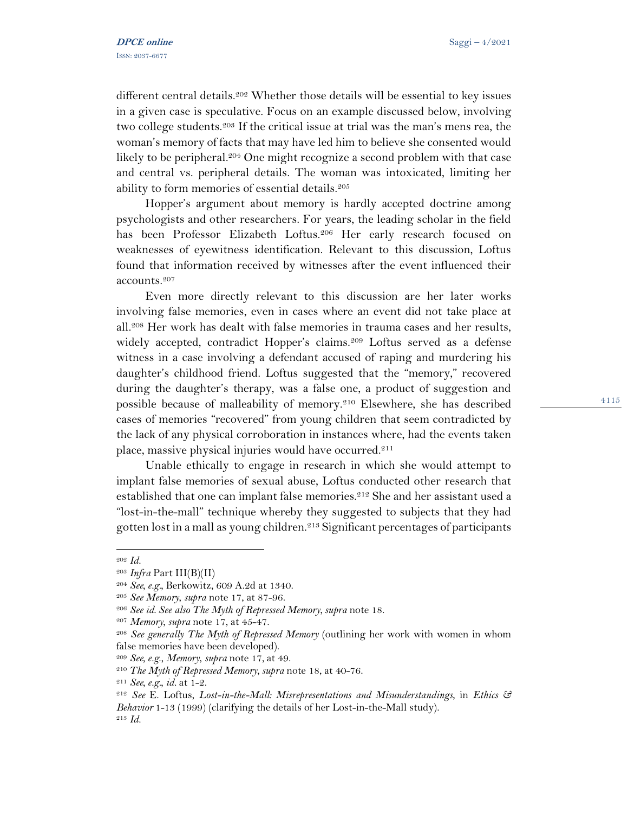different central details.<sup>202</sup> Whether those details will be essential to key issues in a given case is speculative. Focus on an example discussed below, involving two college students.<sup>203</sup> If the critical issue at trial was the man's mens rea, the woman's memory of facts that may have led him to believe she consented would likely to be peripheral.<sup>204</sup> One might recognize a second problem with that case and central vs. peripheral details. The woman was intoxicated, limiting her ability to form memories of essential details.<sup>205</sup>

Hopper's argument about memory is hardly accepted doctrine among psychologists and other researchers. For years, the leading scholar in the field has been Professor Elizabeth Loftus.<sup>206</sup> Her early research focused on weaknesses of eyewitness identification. Relevant to this discussion, Loftus found that information received by witnesses after the event influenced their accounts.<sup>207</sup>

Even more directly relevant to this discussion are her later works involving false memories, even in cases where an event did not take place at all.<sup>208</sup> Her work has dealt with false memories in trauma cases and her results, widely accepted, contradict Hopper's claims.<sup>209</sup> Loftus served as a defense witness in a case involving a defendant accused of raping and murdering his daughter's childhood friend. Loftus suggested that the "memory," recovered during the daughter's therapy, was a false one, a product of suggestion and possible because of malleability of memory.<sup>210</sup> Elsewhere, she has described cases of memories "recovered" from young children that seem contradicted by the lack of any physical corroboration in instances where, had the events taken place, massive physical injuries would have occurred.<sup>211</sup>

Unable ethically to engage in research in which she would attempt to implant false memories of sexual abuse, Loftus conducted other research that established that one can implant false memories.<sup>212</sup> She and her assistant used a "lost-in-the-mall" technique whereby they suggested to subjects that they had gotten lost in a mall as young children.<sup>213</sup> Significant percentages of participants

<sup>209</sup> *See, e.g*., *Memory*, *supra* note 17, at 49.

<sup>202</sup> *Id.* 

<sup>203</sup> *Infra* Part III(B)(II)

<sup>204</sup> *See, e.g.,* Berkowitz, 609 A.2d at 1340.

<sup>205</sup> *See Memory*, *supra* note 17, at 87-96.

<sup>206</sup> *See id*. *See also The Myth of Repressed Memory*, *supra* note 18.

<sup>207</sup> *Memory*, *supra* note 17, at 45-47.

<sup>208</sup> *See generally The Myth of Repressed Memory* (outlining her work with women in whom false memories have been developed).

<sup>210</sup> *The Myth of Repressed Memory*, *supra* note 18, at 40-76.

<sup>211</sup> *See, e.g., id.* at 1-2.

<sup>212</sup> *See* E. Loftus, *Lost-in-the-Mall: Misrepresentations and Misunderstandings*, in *Ethics & Behavior* 1-13 (1999) (clarifying the details of her Lost-in-the-Mall study). <sup>213</sup> *Id.*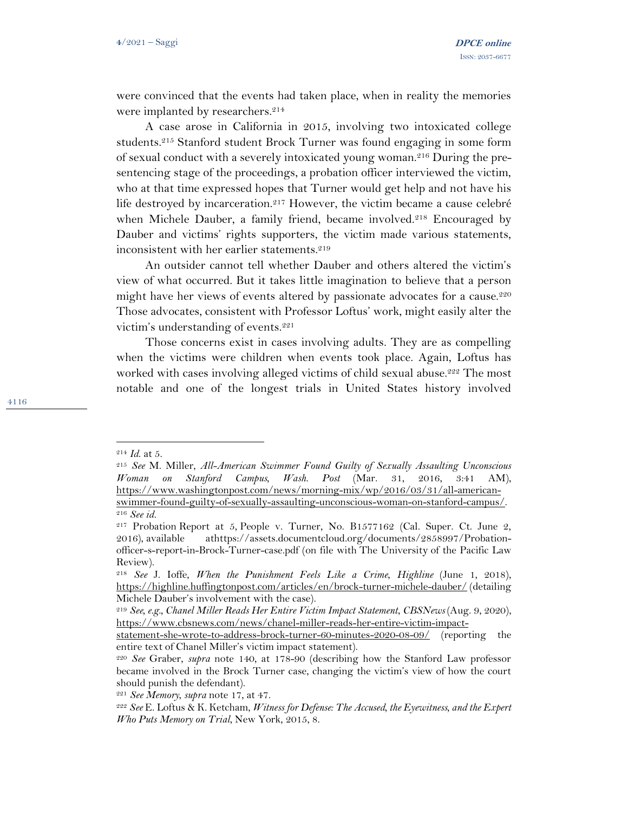were convinced that the events had taken place, when in reality the memories were implanted by researchers.<sup>214</sup>

A case arose in California in 2015, involving two intoxicated college students.<sup>215</sup> Stanford student Brock Turner was found engaging in some form of sexual conduct with a severely intoxicated young woman.<sup>216</sup> During the presentencing stage of the proceedings, a probation officer interviewed the victim, who at that time expressed hopes that Turner would get help and not have his life destroyed by incarceration.<sup>217</sup> However, the victim became a cause celebré when Michele Dauber, a family friend, became involved.<sup>218</sup> Encouraged by Dauber and victims' rights supporters, the victim made various statements, inconsistent with her earlier statements.<sup>219</sup>

An outsider cannot tell whether Dauber and others altered the victim's view of what occurred. But it takes little imagination to believe that a person might have her views of events altered by passionate advocates for a cause.<sup>220</sup> Those advocates, consistent with Professor Loftus' work, might easily alter the victim's understanding of events.<sup>221</sup>

Those concerns exist in cases involving adults. They are as compelling when the victims were children when events took place. Again, Loftus has worked with cases involving alleged victims of child sexual abuse.<sup>222</sup> The most notable and one of the longest trials in United States history involved

<sup>214</sup> *Id*. at 5.

<sup>215</sup> *See* M. Miller, *All-American Swimmer Found Guilty of Sexually Assaulting Unconscious Woman on Stanford Campus, Wash. Post* (Mar. 31, 2016, 3:41 AM), [https://www.washingtonpost.com/news/morning-mix/wp/2016/03/31/all-american](https://www.washingtonpost.com/news/morning-mix/wp/2016/03/31/all-american-swimmer-found-guilty-of-sexually-assaulting-unconscious-woman-on-stanford-campus/)[swimmer-found-guilty-of-sexually-assaulting-unconscious-woman-on-stanford-campus/.](https://www.washingtonpost.com/news/morning-mix/wp/2016/03/31/all-american-swimmer-found-guilty-of-sexually-assaulting-unconscious-woman-on-stanford-campus/)  <sup>216</sup> *See id.* 

<sup>217</sup> Probation Report at 5, [People v. Turner, No. B1577162 \(Cal. Super. Ct. June 2,](https://1.next.westlaw.com/Link/Document/FullText?findType=Y&serNum=2039231417&pubNum=0004031&originatingDoc=I167be42049bb11e89bf199c0ee06c731&refType=RP&originationContext=document&transitionType=DocumentItem&contextData=(sc.DocLink))  [2016\),](https://1.next.westlaw.com/Link/Document/FullText?findType=Y&serNum=2039231417&pubNum=0004031&originatingDoc=I167be42049bb11e89bf199c0ee06c731&refType=RP&originationContext=document&transitionType=DocumentItem&contextData=(sc.DocLink)) available athttps://assets.documentcloud.org/documents/2858997/Probationofficer-s-report-in-Brock-Turner-case.pdf (on file with The University of the Pacific Law Review).

<sup>218</sup> *See* J. Ioffe, *When the Punishment Feels Like a Crime*, *Highline* (June 1, 2018), <https://highline.huffingtonpost.com/articles/en/brock-turner-michele-dauber/> (detailing Michele Dauber's involvement with the case).

<sup>219</sup> *See, e.g., Chanel Miller Reads Her Entire Victim Impact Statement*, *CBSNews* (Aug. 9, 2020), [https://www.cbsnews.com/news/chanel-miller-reads-her-entire-victim-impact-](https://www.cbsnews.com/news/chanel-miller-reads-her-entire-victim-impact-statement-she-wrote-to-address-brock-turner-60-minutes-2020-08-09/)

[statement-she-wrote-to-address-brock-turner-60-minutes-2020-08-09/](https://www.cbsnews.com/news/chanel-miller-reads-her-entire-victim-impact-statement-she-wrote-to-address-brock-turner-60-minutes-2020-08-09/) (reporting the entire text of Chanel Miller's victim impact statement).

<sup>220</sup> *See* Graber, *supra* note 140, at 178-90 (describing how the Stanford Law professor became involved in the Brock Turner case, changing the victim's view of how the court should punish the defendant).

<sup>221</sup> *See Memory*, *supra* note 17, at 47.

<sup>222</sup> *See* E. Loftus & K. Ketcham, *Witness for Defense: The Accused, the Eyewitness, and the Expert Who Puts Memory on Trial*, New York, 2015, 8.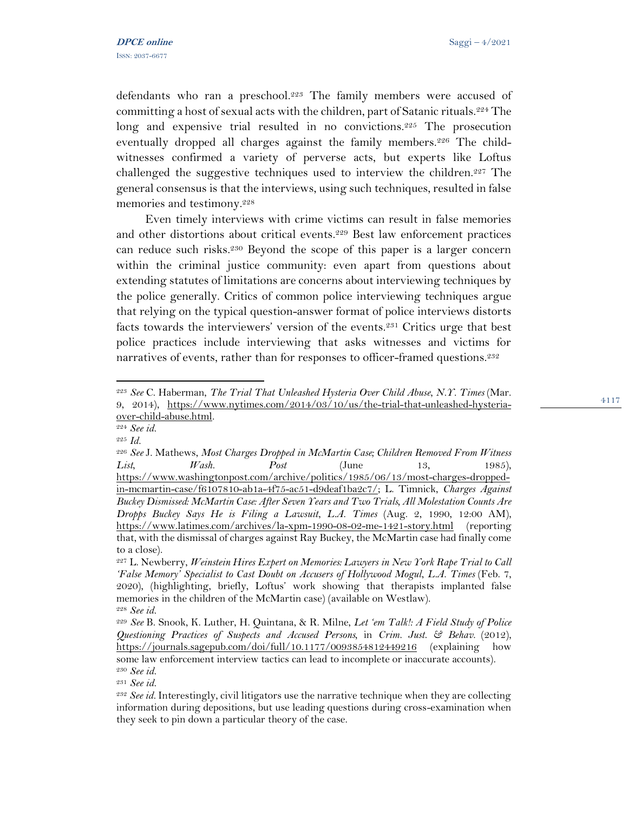defendants who ran a preschool.<sup>223</sup> The family members were accused of committing a host of sexual acts with the children, part of Satanic rituals.<sup>224</sup> The long and expensive trial resulted in no convictions.<sup>225</sup> The prosecution eventually dropped all charges against the family members.<sup>226</sup> The childwitnesses confirmed a variety of perverse acts, but experts like Loftus challenged the suggestive techniques used to interview the children.<sup>227</sup> The general consensus is that the interviews, using such techniques, resulted in false memories and testimony.<sup>228</sup>

Even timely interviews with crime victims can result in false memories and other distortions about critical events.<sup>229</sup> Best law enforcement practices can reduce such risks.<sup>230</sup> Beyond the scope of this paper is a larger concern within the criminal justice community: even apart from questions about extending statutes of limitations are concerns about interviewing techniques by the police generally. Critics of common police interviewing techniques argue that relying on the typical question-answer format of police interviews distorts facts towards the interviewers' version of the events.<sup>231</sup> Critics urge that best police practices include interviewing that asks witnesses and victims for narratives of events, rather than for responses to officer-framed questions.<sup>232</sup>

<sup>231</sup> *See id.* 

<sup>223</sup> *See* C. Haberman, *The Trial That Unleashed Hysteria Over Child Abuse*, *N.Y. Times* (Mar. 9, 2014), [https://www.nytimes.com/2014/03/10/us/the-trial-that-unleashed-hysteria](https://www.nytimes.com/2014/03/10/us/the-trial-that-unleashed-hysteria-over-child-abuse.html)[over-child-abuse.html.](https://www.nytimes.com/2014/03/10/us/the-trial-that-unleashed-hysteria-over-child-abuse.html)

<sup>224</sup> *See id.* 

<sup>225</sup> *Id.* 

<sup>226</sup> *See* J. Mathews, *Most Charges Dropped in McMartin Case; Children Removed From Witness List*, *Wash. Post* (June 13, 1985), [https://www.washingtonpost.com/archive/politics/1985/06/13/most-charges-dropped](https://www.washingtonpost.com/archive/politics/1985/06/13/most-charges-dropped-in-mcmartin-case/f6107810-ab1a-4f75-ac51-d9deaf1ba2c7/)[in-mcmartin-case/f6107810-ab1a-4f75-ac51-d9deaf1ba2c7/;](https://www.washingtonpost.com/archive/politics/1985/06/13/most-charges-dropped-in-mcmartin-case/f6107810-ab1a-4f75-ac51-d9deaf1ba2c7/) L. Timnick, *Charges Against Buckey Dismissed: McMartin Case: After Seven Years and Two Trials, All Molestation Counts Are Dropps Buckey Says He is Filing a Lawsuit*, *L.A. Times* (Aug. 2, 1990, 12:00 AM), <https://www.latimes.com/archives/la-xpm-1990-08-02-me-1421-story.html> (reporting that, with the dismissal of charges against Ray Buckey, the McMartin case had finally come to a close).

<sup>227</sup> L. Newberry, *Weinstein Hires Expert on Memories: Lawyers in New York Rape Trial to Call 'False Memory' Specialist to Cast Doubt on Accusers of Hollywood Mogul*, *L.A. Times* (Feb. 7, 2020), (highlighting, briefly, Loftus' work showing that therapists implanted false memories in the children of the McMartin case) (available on Westlaw). <sup>228</sup> *See id.* 

<sup>229</sup> *See* B. Snook, K. Luther, H. Quintana, & R. Milne, *Let 'em Talk!: A Field Study of Police Questioning Practices of Suspects and Accused Persons,* in *Crim. Just. & Behav.* (2012), <https://journals.sagepub.com/doi/full/10.1177/0093854812449216> (explaining how some law enforcement interview tactics can lead to incomplete or inaccurate accounts). <sup>230</sup> *See id.* 

<sup>232</sup> *See id.* Interestingly, civil litigators use the narrative technique when they are collecting information during depositions, but use leading questions during cross-examination when they seek to pin down a particular theory of the case.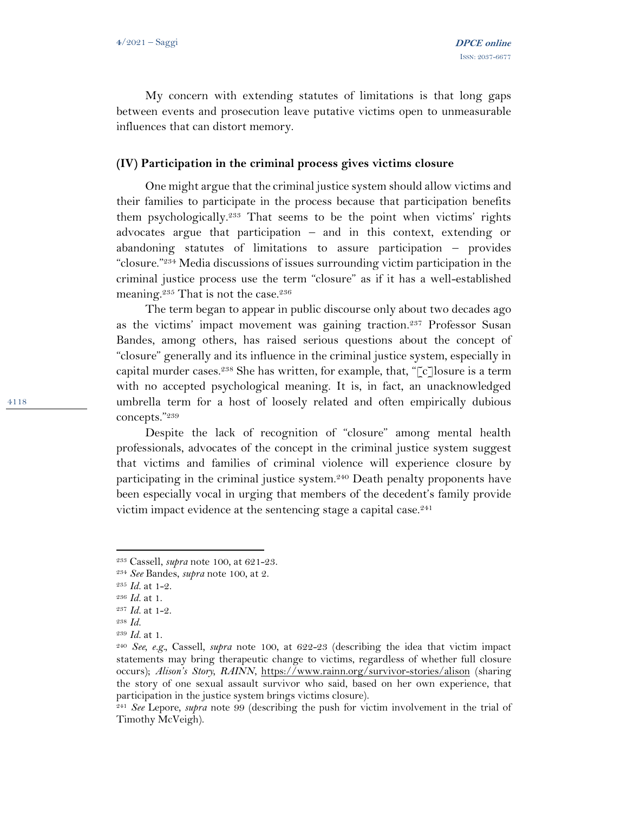My concern with extending statutes of limitations is that long gaps between events and prosecution leave putative victims open to unmeasurable influences that can distort memory.

### **(IV) Participation in the criminal process gives victims closure**

One might argue that the criminal justice system should allow victims and their families to participate in the process because that participation benefits them psychologically.<sup>233</sup> That seems to be the point when victims' rights advocates argue that participation – and in this context, extending or abandoning statutes of limitations to assure participation – provides "closure."<sup>234</sup> Media discussions of issues surrounding victim participation in the criminal justice process use the term "closure" as if it has a well-established meaning.<sup>235</sup> That is not the case.<sup>236</sup>

The term began to appear in public discourse only about two decades ago as the victims' impact movement was gaining traction.<sup>237</sup> Professor Susan Bandes, among others, has raised serious questions about the concept of "closure" generally and its influence in the criminal justice system, especially in capital murder cases.<sup>238</sup> She has written, for example, that, " $\lceil c \rceil$ losure is a term with no accepted psychological meaning. It is, in fact, an unacknowledged umbrella term for a host of loosely related and often empirically dubious concepts."<sup>239</sup>

Despite the lack of recognition of "closure" among mental health professionals, advocates of the concept in the criminal justice system suggest that victims and families of criminal violence will experience closure by participating in the criminal justice system.<sup>240</sup> Death penalty proponents have been especially vocal in urging that members of the decedent's family provide victim impact evidence at the sentencing stage a capital case.<sup>241</sup>

<sup>233</sup> Cassell, *supra* note 100, at 621-23.

<sup>234</sup> *See* Bandes, *supra* note 100, at 2.

<sup>235</sup> *Id.* at 1-2.

<sup>236</sup> *Id.* at 1.

<sup>237</sup> *Id.* at 1-2.

<sup>238</sup> *Id.* 

<sup>239</sup> *Id.* at 1.

<sup>240</sup> *See, e.g.,* Cassell*, supra* note 100, at 622-23 (describing the idea that victim impact statements may bring therapeutic change to victims, regardless of whether full closure occurs); *Alison's Story, RAINN*, <https://www.rainn.org/survivor-stories/alison> (sharing the story of one sexual assault survivor who said, based on her own experience, that participation in the justice system brings victims closure).

<sup>241</sup> *See* Lepore*, supra* note 99 (describing the push for victim involvement in the trial of Timothy McVeigh).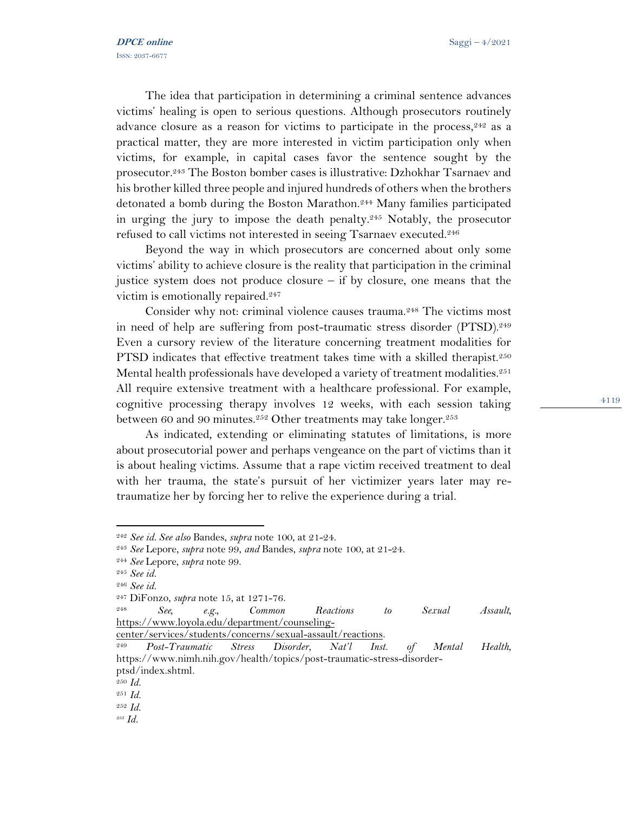The idea that participation in determining a criminal sentence advances victims' healing is open to serious questions. Although prosecutors routinely advance closure as a reason for victims to participate in the process,  $242$  as a practical matter, they are more interested in victim participation only when victims, for example, in capital cases favor the sentence sought by the prosecutor.<sup>243</sup> The Boston bomber cases is illustrative: Dzhokhar Tsarnaev and his brother killed three people and injured hundreds of others when the brothers detonated a bomb during the Boston Marathon.<sup>244</sup> Many families participated in urging the jury to impose the death penalty.<sup>245</sup> Notably, the prosecutor refused to call victims not interested in seeing Tsarnaev executed.<sup>246</sup>

Beyond the way in which prosecutors are concerned about only some victims' ability to achieve closure is the reality that participation in the criminal justice system does not produce closure – if by closure, one means that the victim is emotionally repaired.<sup>247</sup>

Consider why not: criminal violence causes trauma.<sup>248</sup> The victims most in need of help are suffering from post-traumatic stress disorder (PTSD).<sup>249</sup> Even a cursory review of the literature concerning treatment modalities for PTSD indicates that effective treatment takes time with a skilled therapist.<sup>250</sup> Mental health professionals have developed a variety of treatment modalities.<sup>251</sup> All require extensive treatment with a healthcare professional. For example, cognitive processing therapy involves 12 weeks, with each session taking between 60 and 90 minutes.<sup>252</sup> Other treatments may take longer.<sup>253</sup>

As indicated, extending or eliminating statutes of limitations, is more about prosecutorial power and perhaps vengeance on the part of victims than it is about healing victims. Assume that a rape victim received treatment to deal with her trauma, the state's pursuit of her victimizer years later may retraumatize her by forcing her to relive the experience during a trial.

[center/services/students/concerns/sexual-assault/reactions.](https://www.loyola.edu/department/counseling-center/services/students/concerns/sexual-assault/reactions) 

<sup>242</sup> *See id. See also* Bandes, *supra* note 100, at 21-24.

<sup>243</sup> *See* Lepore, *supra* note 99, *and* Bandes, *supra* note 100, at 21-24.

<sup>244</sup> *See* Lepore, *supra* note 99.

<sup>245</sup> *See id.* 

<sup>246</sup> *See id.*

<sup>247</sup> DiFonzo, *supra* note 15, at 1271-76.

<sup>248</sup> *See, e.g., Common Reactions to Sexual Assault,*  [https://www.loyola.edu/department/counseling-](https://www.loyola.edu/department/counseling-center/services/students/concerns/sexual-assault/reactions)

<sup>249</sup> *Post-Traumatic Stress Disorder*, *Nat'l Inst. of Mental Health*, https://www.nimh.nih.gov/health/topics/post-traumatic-stress-disorderptsd/index.shtml.

<sup>250</sup> *Id.*

<sup>251</sup> *Id.*

<sup>252</sup> *Id.*

*<sup>253</sup> Id.*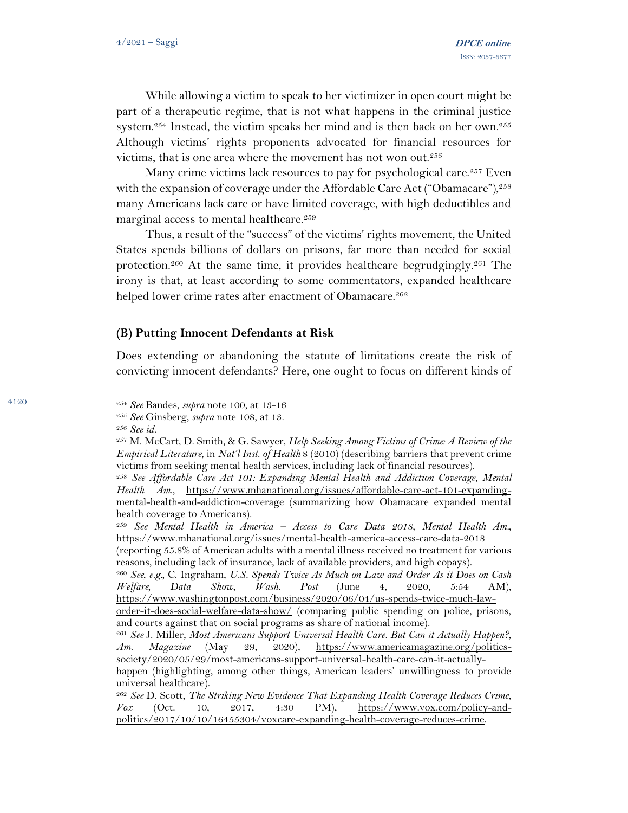While allowing a victim to speak to her victimizer in open court might be part of a therapeutic regime, that is not what happens in the criminal justice system.<sup>254</sup> Instead, the victim speaks her mind and is then back on her own.<sup>255</sup> Although victims' rights proponents advocated for financial resources for victims, that is one area where the movement has not won out.<sup>256</sup>

Many crime victims lack resources to pay for psychological care.<sup>257</sup> Even with the expansion of coverage under the Affordable Care Act ("Obamacare"),<sup>258</sup> many Americans lack care or have limited coverage, with high deductibles and marginal access to mental healthcare.<sup>259</sup>

Thus, a result of the "success" of the victims' rights movement, the United States spends billions of dollars on prisons, far more than needed for social protection.<sup>260</sup> At the same time, it provides healthcare begrudgingly.<sup>261</sup> The irony is that, at least according to some commentators, expanded healthcare helped lower crime rates after enactment of Obamacare.<sup>262</sup>

### **(B) Putting Innocent Defendants at Risk**

Does extending or abandoning the statute of limitations create the risk of convicting innocent defendants? Here, one ought to focus on different kinds of

<sup>254</sup> *See* Bandes, *supra* note 100, at 13-16

<sup>255</sup> *See* Ginsberg, *supra* note 108, at 13.

<sup>256</sup> *See id.* 

<sup>257</sup> M. McCart, D. Smith, & G. Sawyer, *Help Seeking Among Victims of Crime: A Review of the Empirical Literature*, in *Nat'l Inst. of Health* 8 (2010) (describing barriers that prevent crime victims from seeking mental health services, including lack of financial resources).

<sup>258</sup> *See Affordable Care Act 101: Expanding Mental Health and Addiction Coverage*, *Mental Health Am*., [https://www.mhanational.org/issues/affordable-care-act-101-expanding](https://www.mhanational.org/issues/affordable-care-act-101-expanding-mental-health-and-addiction-coverage)[mental-health-and-addiction-coverage](https://www.mhanational.org/issues/affordable-care-act-101-expanding-mental-health-and-addiction-coverage) (summarizing how Obamacare expanded mental health coverage to Americans).

<sup>259</sup> *See Mental Health in America – Access to Care Data 2018*, *Mental Health Am.,* <https://www.mhanational.org/issues/mental-health-america-access-care-data-2018>

<sup>(</sup>reporting 55.8% of American adults with a mental illness received no treatment for various reasons, including lack of insurance, lack of available providers, and high copays).

<sup>260</sup> *See, e.g.,* C. Ingraham, *U.S. Spends Twice As Much on Law and Order As it Does on Cash Welfare, Data Show*, *Wash. Post* (June 4, 2020, 5:54 AM), [https://www.washingtonpost.com/business/2020/06/04/us-spends-twice-much-law-](https://www.washingtonpost.com/business/2020/06/04/us-spends-twice-much-law-order-it-does-social-welfare-data-show/)

[order-it-does-social-welfare-data-show/](https://www.washingtonpost.com/business/2020/06/04/us-spends-twice-much-law-order-it-does-social-welfare-data-show/) (comparing public spending on police, prisons, and courts against that on social programs as share of national income).

<sup>261</sup> *See* J. Miller, *Most Americans Support Universal Health Care. But Can it Actually Happen?*, *Am. Magazine* (May 29, 2020), [https://www.americamagazine.org/politics](https://www.americamagazine.org/politics-society/2020/05/29/most-americans-support-universal-health-care-can-it-actually-happen)[society/2020/05/29/most-americans-support-universal-health-care-can-it-actually-](https://www.americamagazine.org/politics-society/2020/05/29/most-americans-support-universal-health-care-can-it-actually-happen)

[happen](https://www.americamagazine.org/politics-society/2020/05/29/most-americans-support-universal-health-care-can-it-actually-happen) (highlighting, among other things, American leaders' unwillingness to provide universal healthcare).

<sup>262</sup> *See* D. Scott, *The Striking New Evidence That Expanding Health Coverage Reduces Crime*, *Vox* (Oct. 10, 2017, 4:30 PM), [https://www.vox.com/policy-and](https://www.vox.com/policy-and-politics/2017/10/10/16455304/voxcare-expanding-health-coverage-reduces-crime)[politics/2017/10/10/16455304/voxcare-expanding-health-coverage-reduces-crime.](https://www.vox.com/policy-and-politics/2017/10/10/16455304/voxcare-expanding-health-coverage-reduces-crime)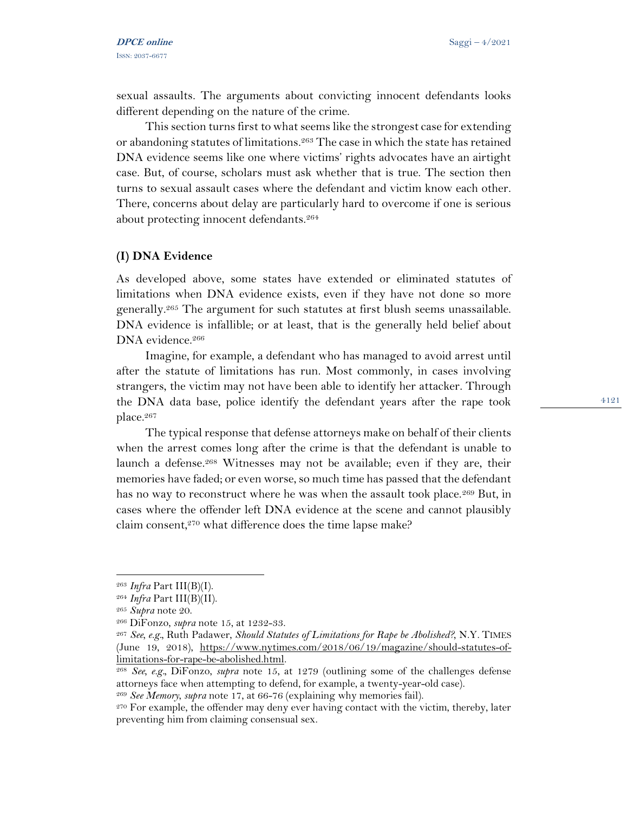sexual assaults. The arguments about convicting innocent defendants looks different depending on the nature of the crime.

This section turns first to what seems like the strongest case for extending or abandoning statutes of limitations.<sup>263</sup> The case in which the state has retained DNA evidence seems like one where victims' rights advocates have an airtight case. But, of course, scholars must ask whether that is true. The section then turns to sexual assault cases where the defendant and victim know each other. There, concerns about delay are particularly hard to overcome if one is serious about protecting innocent defendants.<sup>264</sup>

#### **(I) DNA Evidence**

As developed above, some states have extended or eliminated statutes of limitations when DNA evidence exists, even if they have not done so more generally.<sup>265</sup> The argument for such statutes at first blush seems unassailable. DNA evidence is infallible; or at least, that is the generally held belief about DNA evidence.<sup>266</sup>

Imagine, for example, a defendant who has managed to avoid arrest until after the statute of limitations has run. Most commonly, in cases involving strangers, the victim may not have been able to identify her attacker. Through the DNA data base, police identify the defendant years after the rape took place.<sup>267</sup>

The typical response that defense attorneys make on behalf of their clients when the arrest comes long after the crime is that the defendant is unable to launch a defense.<sup>268</sup> Witnesses may not be available; even if they are, their memories have faded; or even worse, so much time has passed that the defendant has no way to reconstruct where he was when the assault took place.<sup>269</sup> But, in cases where the offender left DNA evidence at the scene and cannot plausibly claim consent,<sup>270</sup> what difference does the time lapse make?

<sup>263</sup> *Infra* Part III(B)(I).

<sup>264</sup> *Infra* Part III(B)(II).

<sup>265</sup> *Supra* note 20.

<sup>266</sup> DiFonzo, *supra* note 15, at 1232-33.

<sup>267</sup> *See, e.g.,* Ruth Padawer, *Should Statutes of Limitations for Rape be Abolished?,* N.Y. TIMES (June 19, 2018), [https://www.nytimes.com/2018/06/19/magazine/should-statutes-of](https://www.nytimes.com/2018/06/19/magazine/should-statutes-of-limitations-for-rape-be-abolished.html)[limitations-for-rape-be-abolished.html.](https://www.nytimes.com/2018/06/19/magazine/should-statutes-of-limitations-for-rape-be-abolished.html)

<sup>268</sup> *See, e.g.,* DiFonzo, *supra* note 15, at 1279 (outlining some of the challenges defense attorneys face when attempting to defend, for example, a twenty-year-old case).

<sup>269</sup> *See Memory*, *supra* note 17, at 66-76 (explaining why memories fail).

<sup>270</sup> For example, the offender may deny ever having contact with the victim, thereby, later preventing him from claiming consensual sex.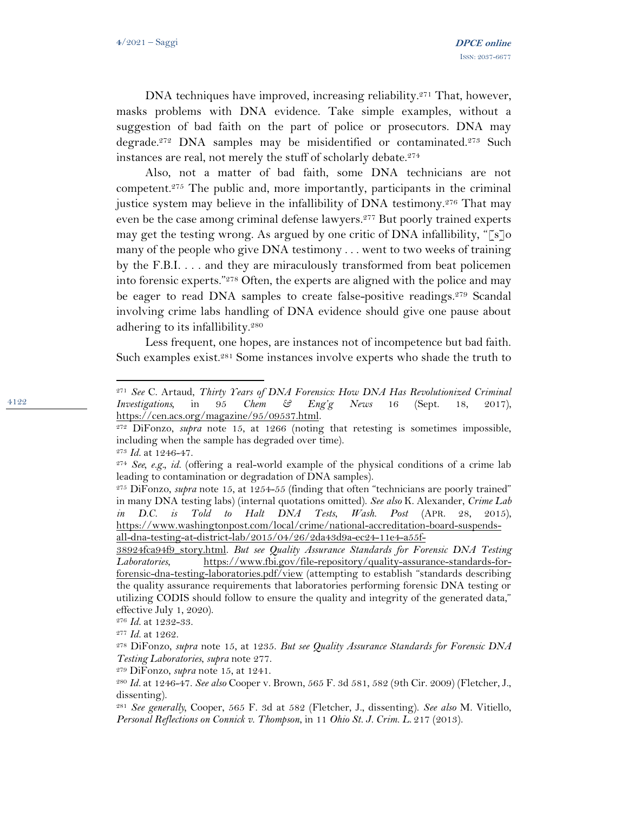DNA techniques have improved, increasing reliability.<sup>271</sup> That, however, masks problems with DNA evidence. Take simple examples, without a suggestion of bad faith on the part of police or prosecutors. DNA may degrade.<sup>272</sup> DNA samples may be misidentified or contaminated.<sup>273</sup> Such instances are real, not merely the stuff of scholarly debate.<sup>274</sup>

Also, not a matter of bad faith, some DNA technicians are not competent.<sup>275</sup> The public and, more importantly, participants in the criminal justice system may believe in the infallibility of DNA testimony.<sup>276</sup> That may even be the case among criminal defense lawyers.<sup>277</sup> But poorly trained experts may get the testing wrong. As argued by one critic of DNA infallibility, " $\lceil s \rceil$ o many of the people who give DNA testimony . . . went to two weeks of training by the F.B.I. . . . and they are miraculously transformed from beat policemen into forensic experts."<sup>278</sup> Often, the experts are aligned with the police and may be eager to read DNA samples to create false-positive readings.<sup>279</sup> Scandal involving crime labs handling of DNA evidence should give one pause about adhering to its infallibility.<sup>280</sup>

Less frequent, one hopes, are instances not of incompetence but bad faith. Such examples exist.<sup>281</sup> Some instances involve experts who shade the truth to

<sup>271</sup> *See* C. Artaud, *Thirty Years of DNA Forensics: How DNA Has Revolutionized Criminal Investigations,* in 95 *Chem & Eng'g News* 16 (Sept. 18, 2017), [https://cen.acs.org/magazine/95/09537.html.](https://cen.acs.org/magazine/95/09537.html)

<sup>272</sup> DiFonzo, *supra* note 15, at 1266 (noting that retesting is sometimes impossible, including when the sample has degraded over time). <sup>273</sup> *Id.* at 1246-47.

<sup>274</sup> *See, e.g., id.* (offering a real-world example of the physical conditions of a crime lab leading to contamination or degradation of DNA samples).

<sup>275</sup> DiFonzo, *supra* note 15, at 1254-55 (finding that often "technicians are poorly trained" in many DNA testing labs) (internal quotations omitted). *See also* K. Alexander, *Crime Lab in D.C. is Told to Halt DNA Tests*, *Wash. Post* (APR. 28, 2015), [https://www.washingtonpost.com/local/crime/national-accreditation-board-suspends](https://www.washingtonpost.com/local/crime/national-accreditation-board-suspends-all-dna-testing-at-district-lab/2015/04/26/2da43d9a-ec24-11e4-a55f-38924fca94f9_story.html)[all-dna-testing-at-district-lab/2015/04/26/2da43d9a-ec24-11e4-a55f-](https://www.washingtonpost.com/local/crime/national-accreditation-board-suspends-all-dna-testing-at-district-lab/2015/04/26/2da43d9a-ec24-11e4-a55f-38924fca94f9_story.html)

[<sup>38924</sup>fca94f9\\_story.html.](https://www.washingtonpost.com/local/crime/national-accreditation-board-suspends-all-dna-testing-at-district-lab/2015/04/26/2da43d9a-ec24-11e4-a55f-38924fca94f9_story.html) *But see Quality Assurance Standards for Forensic DNA Testing Laboratories*, [https://www.fbi.gov/file-repository/quality-assurance-standards-for](https://www.fbi.gov/file-repository/quality-assurance-standards-for-forensic-dna-testing-laboratories.pdf/view)[forensic-dna-testing-laboratories.pdf/view](https://www.fbi.gov/file-repository/quality-assurance-standards-for-forensic-dna-testing-laboratories.pdf/view) (attempting to establish "standards describing the quality assurance requirements that laboratories performing forensic DNA testing or utilizing CODIS should follow to ensure the quality and integrity of the generated data," effective July 1, 2020).

<sup>276</sup> *Id.* at 1232-33.

<sup>277</sup> *Id.* at 1262.

<sup>278</sup> DiFonzo, *supra* note 15, at 1235. *But see Quality Assurance Standards for Forensic DNA Testing Laboratories*, *supra* note 277.

<sup>279</sup> DiFonzo, *supra* note 15, at 1241.

<sup>280</sup> *Id.* at 1246-47. *See also* Cooper v. Brown, 565 F. 3d 581, 582 (9th Cir. 2009) (Fletcher, J., dissenting).

<sup>281</sup> *See generally,* Cooper, 565 F. 3d at 582 (Fletcher, J., dissenting). *See also* M. Vitiello, *Personal Reflections on Connick v. Thompson*, in 11 *Ohio St. J. Crim. L*. 217 (2013).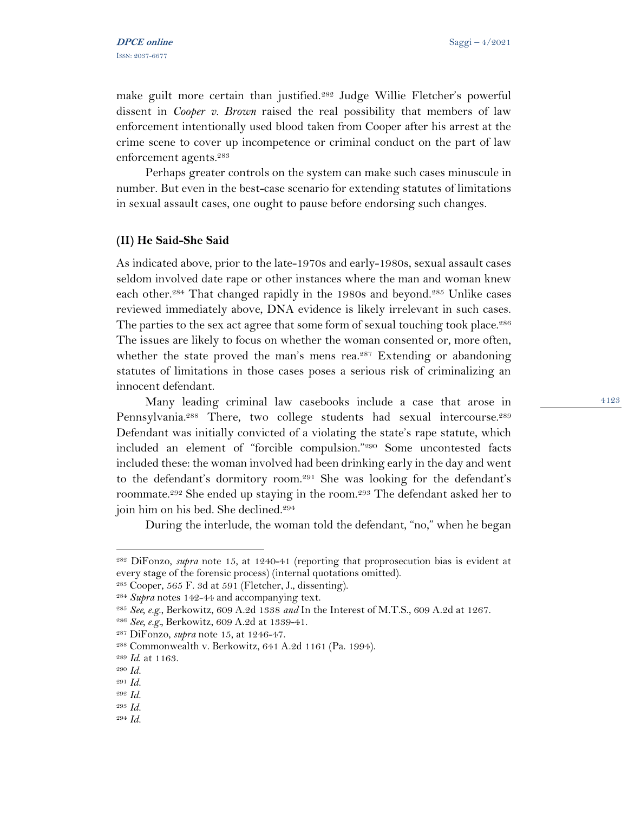make guilt more certain than justified.<sup>282</sup> Judge Willie Fletcher's powerful dissent in *Cooper v. Brown* raised the real possibility that members of law enforcement intentionally used blood taken from Cooper after his arrest at the crime scene to cover up incompetence or criminal conduct on the part of law enforcement agents.<sup>283</sup>

Perhaps greater controls on the system can make such cases minuscule in number. But even in the best-case scenario for extending statutes of limitations in sexual assault cases, one ought to pause before endorsing such changes.

#### **(II) He Said-She Said**

As indicated above, prior to the late-1970s and early-1980s, sexual assault cases seldom involved date rape or other instances where the man and woman knew each other.<sup>284</sup> That changed rapidly in the 1980s and beyond.<sup>285</sup> Unlike cases reviewed immediately above, DNA evidence is likely irrelevant in such cases. The parties to the sex act agree that some form of sexual touching took place.<sup>286</sup> The issues are likely to focus on whether the woman consented or, more often, whether the state proved the man's mens rea.<sup>287</sup> Extending or abandoning statutes of limitations in those cases poses a serious risk of criminalizing an innocent defendant.

Many leading criminal law casebooks include a case that arose in Pennsylvania.<sup>288</sup> There, two college students had sexual intercourse.<sup>289</sup> Defendant was initially convicted of a violating the state's rape statute, which included an element of "forcible compulsion."<sup>290</sup> Some uncontested facts included these: the woman involved had been drinking early in the day and went to the defendant's dormitory room.<sup>291</sup> She was looking for the defendant's roommate.<sup>292</sup> She ended up staying in the room.<sup>293</sup> The defendant asked her to join him on his bed. She declined.<sup>294</sup>

During the interlude, the woman told the defendant, "no," when he began

<sup>282</sup> DiFonzo, *supra* note 15, at 1240-41 (reporting that proprosecution bias is evident at every stage of the forensic process) (internal quotations omitted).

<sup>283</sup> Cooper, 565 F. 3d at 591 (Fletcher, J., dissenting).

<sup>284</sup> *Supra* notes 142-44 and accompanying text.

<sup>285</sup> *See, e.g*., Berkowitz, 609 A.2d 1338 *and* In the Interest of M.T.S., 609 A.2d at 1267.

<sup>286</sup> *See, e.g.,* Berkowitz, 609 A.2d at 1339-41.

<sup>287</sup> DiFonzo, *supra* note 15, at 1246-47.

<sup>288</sup> Commonwealth v. Berkowitz, 641 A.2d 1161 (Pa. 1994).

<sup>289</sup> *Id*. at 1163.

<sup>290</sup> *Id.*

<sup>291</sup> *Id.*

<sup>292</sup> *Id.*

<sup>293</sup> *Id.*

<sup>294</sup> *Id.*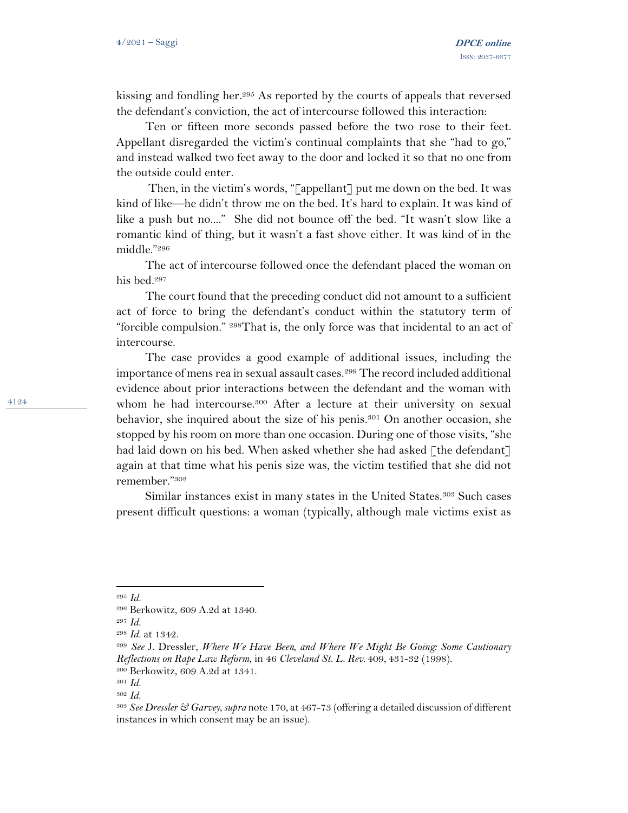kissing and fondling her.<sup>295</sup> As reported by the courts of appeals that reversed the defendant's conviction, the act of intercourse followed this interaction:

Ten or fifteen more seconds passed before the two rose to their feet. Appellant disregarded the victim's continual complaints that she "had to go," and instead walked two feet away to the door and locked it so that no one from the outside could enter.

Then, in the victim's words, "[appellant] put me down on the bed. It was kind of like—he didn't throw me on the bed. It's hard to explain. It was kind of like a push but no...." She did not bounce off the bed. "It wasn't slow like a romantic kind of thing, but it wasn't a fast shove either. It was kind of in the middle."<sup>296</sup>

The act of intercourse followed once the defendant placed the woman on his bed.<sup>297</sup>

The court found that the preceding conduct did not amount to a sufficient act of force to bring the defendant's conduct within the statutory term of "forcible compulsion." 298That is, the only force was that incidental to an act of intercourse.

The case provides a good example of additional issues, including the importance of mens rea in sexual assault cases.<sup>299</sup> The record included additional evidence about prior interactions between the defendant and the woman with whom he had intercourse.<sup>300</sup> After a lecture at their university on sexual behavior, she inquired about the size of his penis.<sup>301</sup> On another occasion, she stopped by his room on more than one occasion. During one of those visits, "she had laid down on his bed. When asked whether she had asked [the defendant] again at that time what his penis size was, the victim testified that she did not remember."<sup>302</sup>

Similar instances exist in many states in the United States.<sup>303</sup> Such cases present difficult questions: a woman (typically, although male victims exist as

<sup>295</sup> *Id.*

<sup>296</sup> Berkowitz, 609 A.2d at 1340.

<sup>297</sup> *Id.*

<sup>298</sup> *Id.* at 1342.

<sup>299</sup> *See* J. Dressler, *Where We Have Been, and Where We Might Be Going: Some Cautionary Reflections on Rape Law Reform*, in 46 *Cleveland St. L. Rev*. 409, 431-32 (1998). <sup>300</sup> Berkowitz, 609 A.2d at 1341.

<sup>301</sup> *Id.* 

<sup>302</sup> *Id.* 

<sup>303</sup> *See Dressler & Garvey*,*supra* note 170, at 467-73 (offering a detailed discussion of different instances in which consent may be an issue).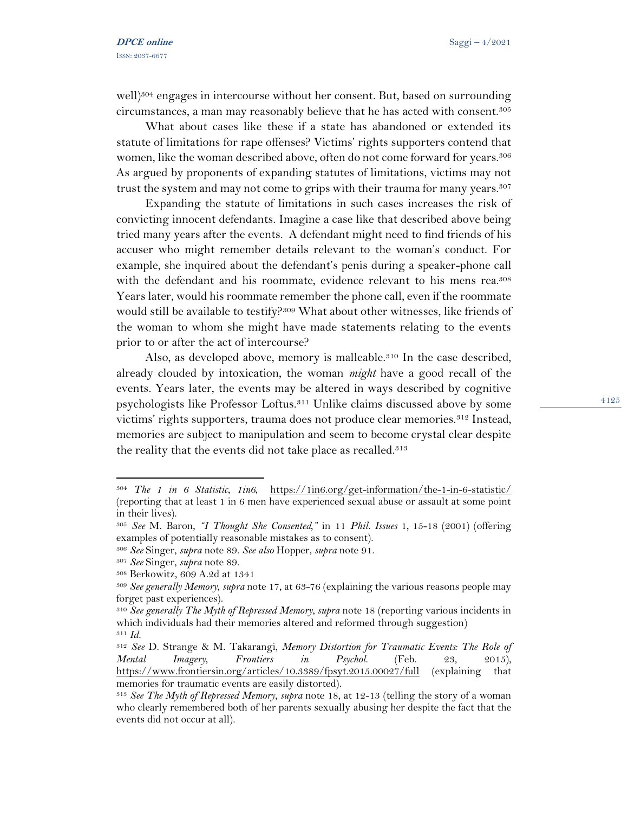well)<sup>304</sup> engages in intercourse without her consent. But, based on surrounding circumstances, a man may reasonably believe that he has acted with consent.<sup>305</sup>

What about cases like these if a state has abandoned or extended its statute of limitations for rape offenses? Victims' rights supporters contend that women, like the woman described above, often do not come forward for years.<sup>306</sup> As argued by proponents of expanding statutes of limitations, victims may not trust the system and may not come to grips with their trauma for many years.<sup>307</sup>

Expanding the statute of limitations in such cases increases the risk of convicting innocent defendants. Imagine a case like that described above being tried many years after the events. A defendant might need to find friends of his accuser who might remember details relevant to the woman's conduct. For example, she inquired about the defendant's penis during a speaker-phone call with the defendant and his roommate, evidence relevant to his mens rea.<sup>308</sup> Years later, would his roommate remember the phone call, even if the roommate would still be available to testify?<sup>309</sup> What about other witnesses, like friends of the woman to whom she might have made statements relating to the events prior to or after the act of intercourse?

Also, as developed above, memory is malleable.<sup>310</sup> In the case described, already clouded by intoxication, the woman *might* have a good recall of the events. Years later, the events may be altered in ways described by cognitive psychologists like Professor Loftus.<sup>311</sup> Unlike claims discussed above by some victims' rights supporters, trauma does not produce clear memories.<sup>312</sup> Instead, memories are subject to manipulation and seem to become crystal clear despite the reality that the events did not take place as recalled.<sup>313</sup>

<sup>304</sup> *The 1 in 6 Statistic*, *1in6*, <https://1in6.org/get-information/the-1-in-6-statistic/> (reporting that at least 1 in 6 men have experienced sexual abuse or assault at some point in their lives).

<sup>305</sup> *See* M. Baron, *"I Thought She Consented,"* in 11 *Phil. Issues* 1, 15-18 (2001) (offering examples of potentially reasonable mistakes as to consent).

<sup>306</sup> *See* Singer, *supra* note 89. *See also* Hopper, *supra* note 91.

<sup>307</sup> *See* Singer, *supra* note 89.

<sup>308</sup> Berkowitz, 609 A.2d at 1341

<sup>309</sup> *See generally Memory*, *supra* note 17, at 63-76 (explaining the various reasons people may forget past experiences).

<sup>310</sup> *See generally The Myth of Repressed Memory*, *supra* note 18 (reporting various incidents in which individuals had their memories altered and reformed through suggestion) <sup>311</sup> *Id.* 

<sup>312</sup> *See* D. Strange & M. Takarangi, *Memory Distortion for Traumatic Events: The Role of Mental Imagery*, *Frontiers in Psychol*. (Feb. 23, 2015), <https://www.frontiersin.org/articles/10.3389/fpsyt.2015.00027/full> (explaining that memories for traumatic events are easily distorted).

<sup>313</sup> *See The Myth of Repressed Memory*, *supra* note 18, at 12-13 (telling the story of a woman who clearly remembered both of her parents sexually abusing her despite the fact that the events did not occur at all).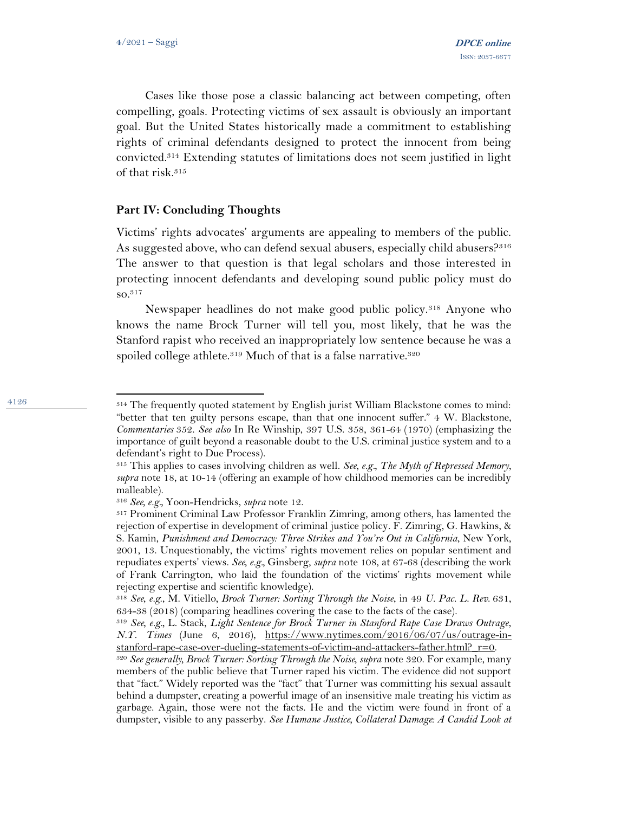4126

Cases like those pose a classic balancing act between competing, often compelling, goals. Protecting victims of sex assault is obviously an important goal. But the United States historically made a commitment to establishing rights of criminal defendants designed to protect the innocent from being convicted.<sup>314</sup> Extending statutes of limitations does not seem justified in light of that risk.<sup>315</sup>

#### **Part IV: Concluding Thoughts**

Victims' rights advocates' arguments are appealing to members of the public. As suggested above, who can defend sexual abusers, especially child abusers?<sup>316</sup> The answer to that question is that legal scholars and those interested in protecting innocent defendants and developing sound public policy must do so.<sup>317</sup>

Newspaper headlines do not make good public policy.<sup>318</sup> Anyone who knows the name Brock Turner will tell you, most likely, that he was the Stanford rapist who received an inappropriately low sentence because he was a spoiled college athlete.<sup>319</sup> Much of that is a false narrative.<sup>320</sup>

<sup>314</sup> The frequently quoted statement by English jurist William Blackstone comes to mind: "better that ten guilty persons escape, than that one innocent suffer." 4 W. Blackstone, *Commentaries* 352. *See also* In Re Winship, 397 U.S. 358, 361-64 (1970) (emphasizing the importance of guilt beyond a reasonable doubt to the U.S. criminal justice system and to a defendant's right to Due Process).

<sup>315</sup> This applies to cases involving children as well. *See, e.g., The Myth of Repressed Memory*, *supra* note 18, at 10-14 (offering an example of how childhood memories can be incredibly malleable).

<sup>316</sup> *See, e.g.,* Yoon-Hendricks, *supra* note 12.

<sup>317</sup> Prominent Criminal Law Professor Franklin Zimring, among others, has lamented the rejection of expertise in development of criminal justice policy. F. Zimring, G. Hawkins, & S. Kamin, *Punishment and Democracy: Three Strikes and You're Out in California*, New York, 2001, 13. Unquestionably, the victims' rights movement relies on popular sentiment and repudiates experts' views. *See, e.g.,* Ginsberg, *supra* note 108, at 67-68 (describing the work of Frank Carrington, who laid the foundation of the victims' rights movement while rejecting expertise and scientific knowledge).

<sup>318</sup> *See, e.g*., M. Vitiello*, Brock Turner: Sorting Through the Noise*, in 49 *U. Pac. L. Rev*. 631, 634-38 (2018) (comparing headlines covering the case to the facts of the case).

<sup>319</sup> *See, e.g.,* L. Stack, *Light Sentence for Brock Turner in Stanford Rape Case Draws Outrage*, *N.Y. Times* (June 6, 2016), [https://www.nytimes.com/2016/06/07/us/outrage-in](https://www.nytimes.com/2016/06/07/us/outrage-in-stanford-rape-case-over-dueling-statements-of-victim-and-attackers-father.html?_r=0)stanford-rape-case-over-dueling-statements-of-victim-and-attackers-father.html? r=0.

<sup>&</sup>lt;sup>320</sup> See generally, Brock Turner: Sorting Through the Noise, supra note 320. For example, many members of the public believe that Turner raped his victim. The evidence did not support that "fact." Widely reported was the "fact" that Turner was committing his sexual assault behind a dumpster, creating a powerful image of an insensitive male treating his victim as garbage. Again, those were not the facts. He and the victim were found in front of a dumpster, visible to any passerby. *See Humane Justice, Collateral Damage: A Candid Look at*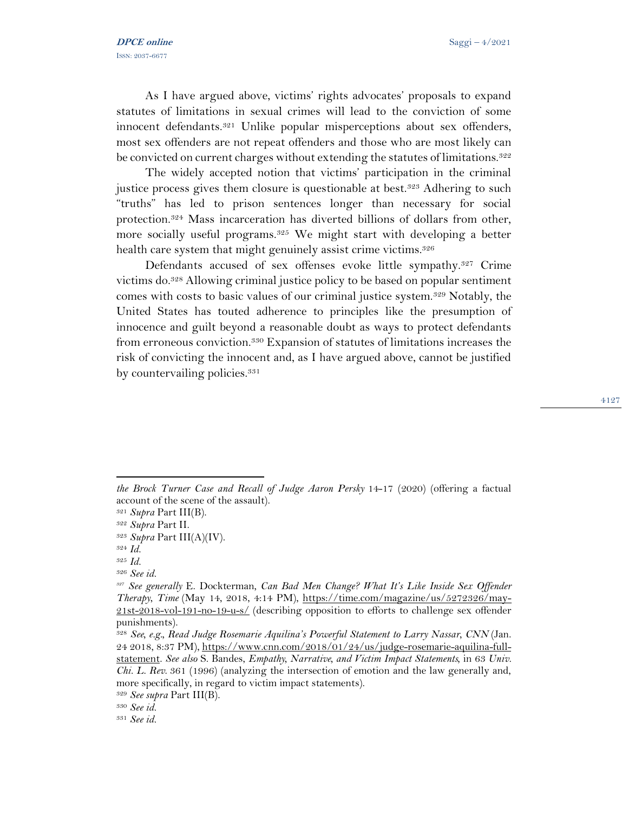As I have argued above, victims' rights advocates' proposals to expand statutes of limitations in sexual crimes will lead to the conviction of some innocent defendants.<sup>321</sup> Unlike popular misperceptions about sex offenders, most sex offenders are not repeat offenders and those who are most likely can be convicted on current charges without extending the statutes of limitations.<sup>322</sup>

The widely accepted notion that victims' participation in the criminal justice process gives them closure is questionable at best.<sup>323</sup> Adhering to such "truths" has led to prison sentences longer than necessary for social protection.<sup>324</sup> Mass incarceration has diverted billions of dollars from other, more socially useful programs.<sup>325</sup> We might start with developing a better health care system that might genuinely assist crime victims.<sup>326</sup>

Defendants accused of sex offenses evoke little sympathy.<sup>327</sup> Crime victims do.<sup>328</sup> Allowing criminal justice policy to be based on popular sentiment comes with costs to basic values of our criminal justice system.<sup>329</sup> Notably, the United States has touted adherence to principles like the presumption of innocence and guilt beyond a reasonable doubt as ways to protect defendants from erroneous conviction.<sup>330</sup> Expansion of statutes of limitations increases the risk of convicting the innocent and, as I have argued above, cannot be justified by countervailing policies.<sup>331</sup>

*the Brock Turner Case and Recall of Judge Aaron Persky* 14-17 (2020) (offering a factual account of the scene of the assault).

<sup>321</sup> *Supra* Part III(B).

<sup>322</sup> *Supra* Part II.

<sup>323</sup> *Supra* Part III(A)(IV).

<sup>324</sup> *Id.* 

<sup>325</sup> *Id.* 

<sup>326</sup> *See id.* 

*<sup>327</sup> See generally* E. Dockterman*, Can Bad Men Change? What It's Like Inside Sex Offender Therapy*, *Time* (May 14, 2018, 4:14 PM), [https://time.com/magazine/us/5272326/may-](https://time.com/magazine/us/5272326/may-21st-2018-vol-191-no-19-u-s/)[21st-2018-vol-191-no-19-u-s/](https://time.com/magazine/us/5272326/may-21st-2018-vol-191-no-19-u-s/) (describing opposition to efforts to challenge sex offender punishments).

<sup>328</sup> *See, e.g., Read Judge Rosemarie Aquilina's Powerful Statement to Larry Nassar, CNN* (Jan. 24 2018, 8:37 PM), [https://www.cnn.com/2018/01/24/us/judge-rosemarie-aquilina-full](https://www.cnn.com/2018/01/24/us/judge-rosemarie-aquilina-full-statement)[statement.](https://www.cnn.com/2018/01/24/us/judge-rosemarie-aquilina-full-statement) *See also* S. Bandes, *Empathy, Narrative, and Victim Impact Statements,* in 63 *Univ. Chi. L. Rev*. 361 (1996) (analyzing the intersection of emotion and the law generally and, more specifically, in regard to victim impact statements).

<sup>329</sup> *See supra* Part III(B).

<sup>330</sup> *See id.* 

<sup>331</sup> *See id.*